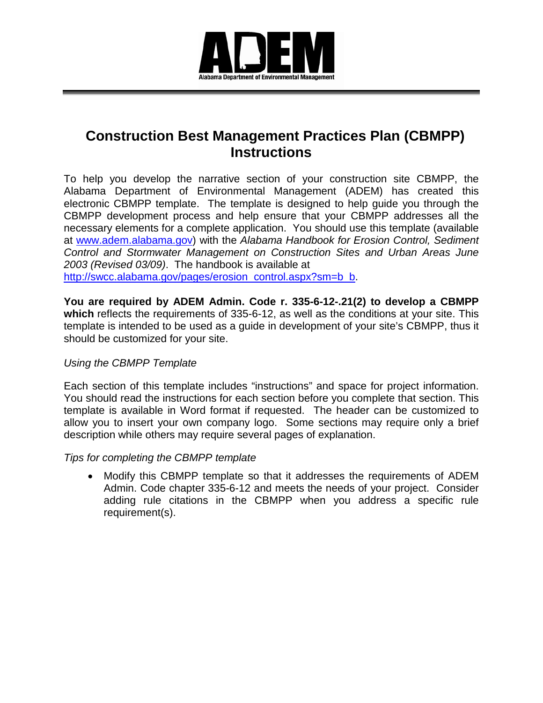

## **Construction Best Management Practices Plan (CBMPP) Instructions**

To help you develop the narrative section of your construction site CBMPP, the Alabama Department of Environmental Management (ADEM) has created this electronic CBMPP template. The template is designed to help guide you through the CBMPP development process and help ensure that your CBMPP addresses all the necessary elements for a complete application. You should use this template (available at www.adem.alabama.gov) with the *Alabama Handbook for Erosion Control, Sediment Control and Stormwater Management on Construction Sites and Urban Areas June 2003 (Revised 03/09)*. The handbook is available at [http://swcc.alabama.gov/pages/erosion\\_control.aspx?sm=b\\_b.](http://swcc.alabama.gov/pages/erosion_control.aspx?sm=b_b)

**You are required by ADEM Admin. Code r. 335-6-12-.21(2) to develop a CBMPP which** reflects the requirements of 335-6-12, as well as the conditions at your site. This template is intended to be used as a guide in development of your site's CBMPP, thus it should be customized for your site.

## *Using the CBMPP Template*

Each section of this template includes "instructions" and space for project information. You should read the instructions for each section before you complete that section. This template is available in Word format if requested. The header can be customized to allow you to insert your own company logo. Some sections may require only a brief description while others may require several pages of explanation.

## *Tips for completing the CBMPP template*

• Modify this CBMPP template so that it addresses the requirements of ADEM Admin. Code chapter 335-6-12 and meets the needs of your project. Consider adding rule citations in the CBMPP when you address a specific rule requirement(s).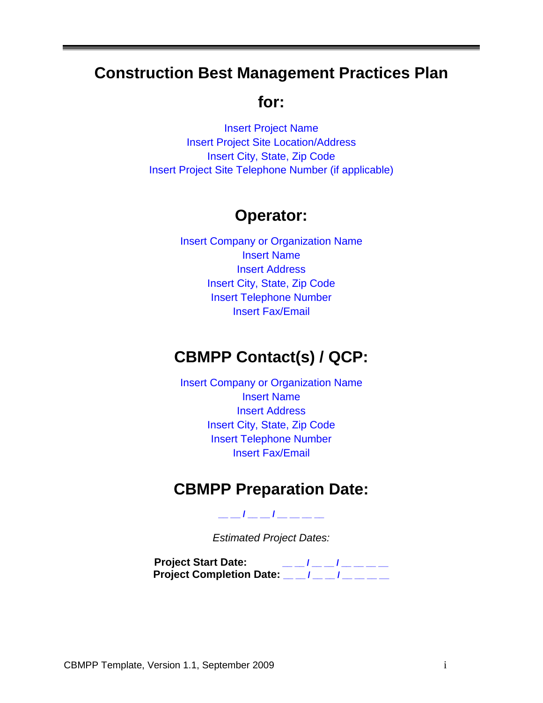## **Construction Best Management Practices Plan**

## **for:**

Insert Project Name Insert Project Site Location/Address Insert City, State, Zip Code Insert Project Site Telephone Number (if applicable)

## **Operator:**

Insert Company or Organization Name Insert Name Insert Address Insert City, State, Zip Code Insert Telephone Number Insert Fax/Email

## **CBMPP Contact(s) / QCP:**

Insert Company or Organization Name Insert Name Insert Address Insert City, State, Zip Code Insert Telephone Number Insert Fax/Email

## **CBMPP Preparation Date:**

**\_\_ \_\_ / \_\_ \_\_ / \_\_ \_\_ \_\_ \_\_**

*Estimated Project Dates:*

**Project Start Date: \_\_ \_\_ / \_\_ \_\_ / \_\_ \_\_ \_\_ \_\_ Project Completion Date: \_\_ \_\_ / \_\_ \_\_ / \_\_ \_\_ \_\_ \_\_**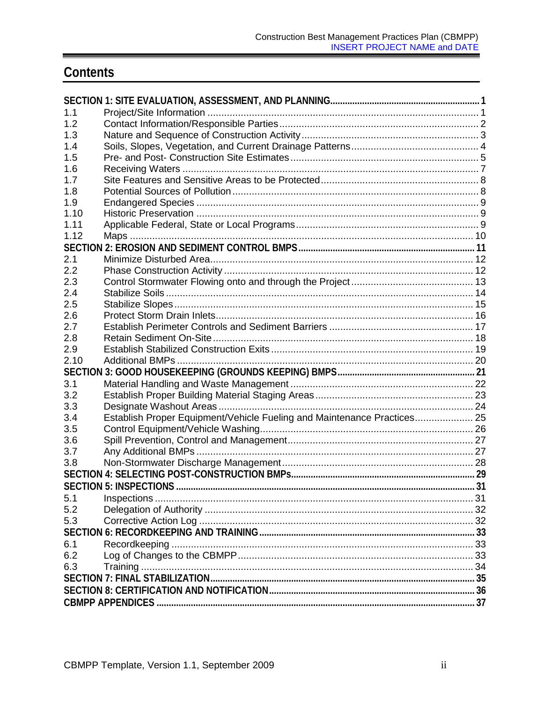## Contents

| 1.1  |                                                                         |  |
|------|-------------------------------------------------------------------------|--|
| 1.2  |                                                                         |  |
| 1.3  |                                                                         |  |
| 1.4  |                                                                         |  |
| 1.5  |                                                                         |  |
| 1.6  |                                                                         |  |
| 1.7  |                                                                         |  |
| 1.8  |                                                                         |  |
| 1.9  |                                                                         |  |
| 1.10 |                                                                         |  |
| 1.11 |                                                                         |  |
| 1.12 |                                                                         |  |
|      |                                                                         |  |
| 2.1  |                                                                         |  |
| 2.2  |                                                                         |  |
| 2.3  |                                                                         |  |
| 2.4  |                                                                         |  |
| 2.5  |                                                                         |  |
| 2.6  |                                                                         |  |
| 2.7  |                                                                         |  |
| 2.8  |                                                                         |  |
| 2.9  |                                                                         |  |
| 2.10 |                                                                         |  |
|      |                                                                         |  |
| 3.1  |                                                                         |  |
| 3.2  |                                                                         |  |
| 3.3  |                                                                         |  |
| 3.4  | Establish Proper Equipment/Vehicle Fueling and Maintenance Practices 25 |  |
| 3.5  |                                                                         |  |
| 3.6  |                                                                         |  |
| 3.7  |                                                                         |  |
| 3.8  |                                                                         |  |
|      |                                                                         |  |
|      |                                                                         |  |
| 5.1  |                                                                         |  |
| 5.2  |                                                                         |  |
| 5.3  |                                                                         |  |
|      |                                                                         |  |
| 6.1  |                                                                         |  |
| 6.2  |                                                                         |  |
| 6.3  |                                                                         |  |
|      |                                                                         |  |
|      |                                                                         |  |
|      |                                                                         |  |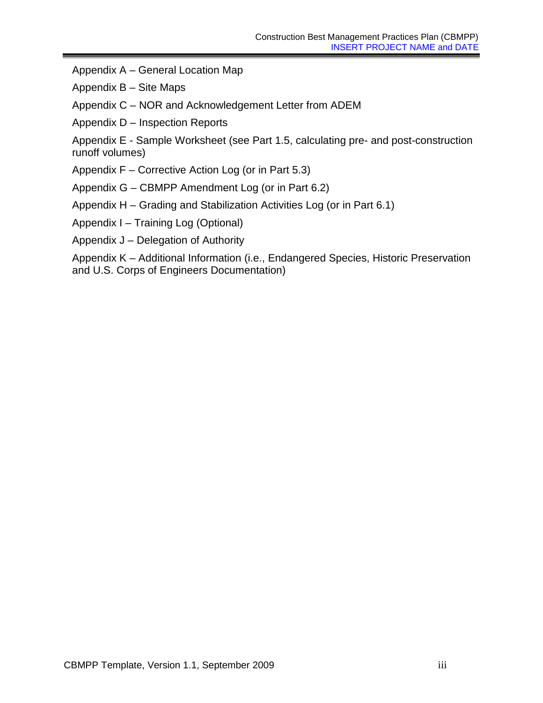Appendix A – General Location Map

Appendix B – Site Maps

Appendix C – NOR and Acknowledgement Letter from ADEM

Appendix D – Inspection Reports

Appendix E - Sample Worksheet (see Part 1.5, calculating pre- and post-construction runoff volumes)

Appendix F – Corrective Action Log (or in Part 5.3)

Appendix G – CBMPP Amendment Log (or in Part 6.2)

Appendix H – Grading and Stabilization Activities Log (or in Part 6.1)

Appendix I – Training Log (Optional)

Appendix J – Delegation of Authority

Appendix K – Additional Information (i.e., Endangered Species, Historic Preservation and U.S. Corps of Engineers Documentation)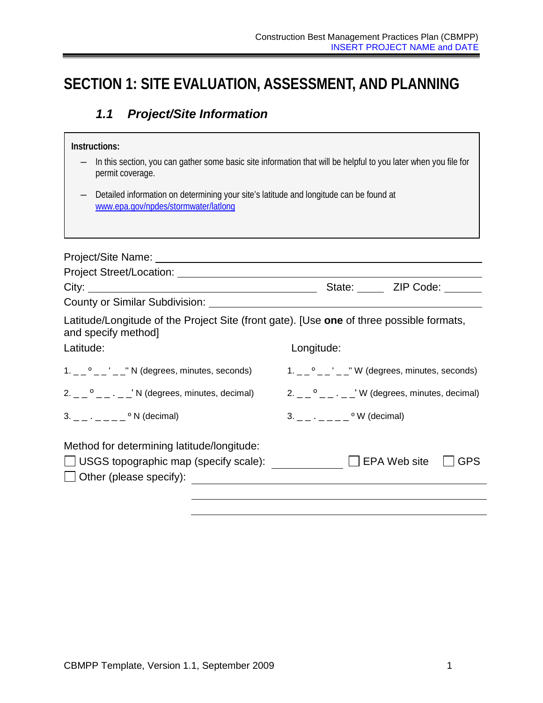## <span id="page-4-1"></span><span id="page-4-0"></span>**SECTION 1: SITE EVALUATION, ASSESSMENT, AND PLANNING**

## *1.1 Project/Site Information*

| Instructions:                                                                                                                                                                                                                  |                                                                                                                 |  |  |
|--------------------------------------------------------------------------------------------------------------------------------------------------------------------------------------------------------------------------------|-----------------------------------------------------------------------------------------------------------------|--|--|
| permit coverage.                                                                                                                                                                                                               | In this section, you can gather some basic site information that will be helpful to you later when you file for |  |  |
| Detailed information on determining your site's latitude and longitude can be found at<br>www.epa.gov/npdes/stormwater/latlong                                                                                                 |                                                                                                                 |  |  |
|                                                                                                                                                                                                                                |                                                                                                                 |  |  |
| Project Street/Location: University of the Contract of the Contract of the Contract of the Contract of the Contract of the Contract of the Contract of the Contract of the Contract of the Contract of the Contract of the Con |                                                                                                                 |  |  |
|                                                                                                                                                                                                                                |                                                                                                                 |  |  |
| Latitude/Longitude of the Project Site (front gate). [Use one of three possible formats,<br>and specify method]                                                                                                                |                                                                                                                 |  |  |
| Latitude:                                                                                                                                                                                                                      | Longitude:                                                                                                      |  |  |
| $1. -2$ <sup>o</sup> $    -$ N (degrees, minutes, seconds)                                                                                                                                                                     | $1. -2$ ° $    -$ W (degrees, minutes, seconds)                                                                 |  |  |
| $2. \_\_\_$ <sup>o</sup> $\_\_\_\_\_\_\_\_$ N (degrees, minutes, decimal)                                                                                                                                                      | $2. -0$ $- -1$ W (degrees, minutes, decimal)                                                                    |  |  |
| $3.        \circ$ N (decimal)                                                                                                                                                                                                  | $3. - - \cdot - - - -$ <sup>o</sup> W (decimal)                                                                 |  |  |
| Method for determining latitude/longitude:<br>Other (please specify):                                                                                                                                                          | <b>GPS</b>                                                                                                      |  |  |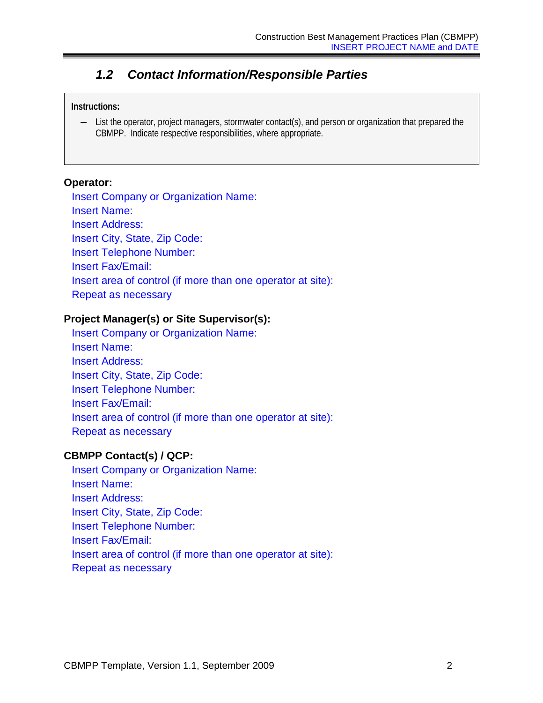## <span id="page-5-0"></span>*1.2 Contact Information/Responsible Parties*

#### **Instructions:**

― List the operator, project managers, stormwater contact(s), and person or organization that prepared the CBMPP. Indicate respective responsibilities, where appropriate.

#### **Operator:**

Insert Company or Organization Name: Insert Name: Insert Address: Insert City, State, Zip Code: Insert Telephone Number: Insert Fax/Email: Insert area of control (if more than one operator at site): Repeat as necessary

### **Project Manager(s) or Site Supervisor(s):**

Insert Company or Organization Name: Insert Name: Insert Address: Insert City, State, Zip Code: Insert Telephone Number: Insert Fax/Email: Insert area of control (if more than one operator at site): Repeat as necessary

#### **CBMPP Contact(s) / QCP:**

Insert Company or Organization Name: Insert Name: Insert Address: Insert City, State, Zip Code: Insert Telephone Number: Insert Fax/Email: Insert area of control (if more than one operator at site): Repeat as necessary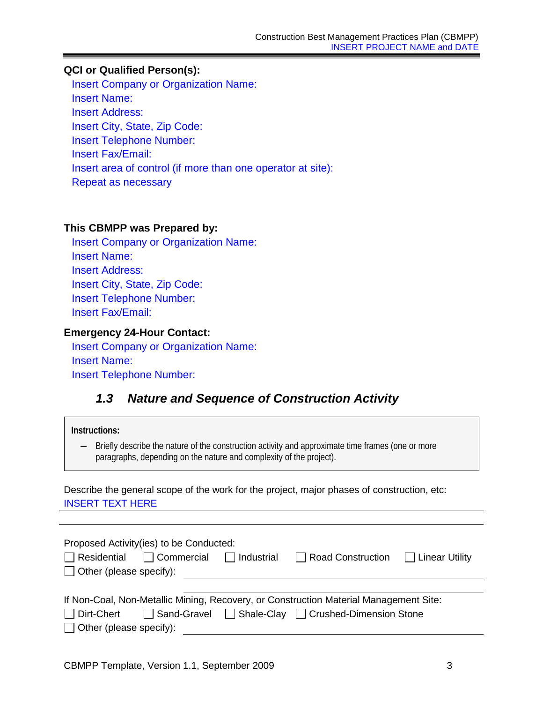## **QCI or Qualified Person(s):**

Insert Company or Organization Name: Insert Name: Insert Address: Insert City, State, Zip Code: Insert Telephone Number: Insert Fax/Email: Insert area of control (if more than one operator at site): Repeat as necessary

#### **This CBMPP was Prepared by:**

Insert Company or Organization Name: Insert Name: Insert Address: Insert City, State, Zip Code: Insert Telephone Number: Insert Fax/Email:

#### **Emergency 24-Hour Contact:**

Insert Company or Organization Name: Insert Name: Insert Telephone Number:

## <span id="page-6-0"></span>*1.3 Nature and Sequence of Construction Activity*

#### **Instructions:**

― Briefly describe the nature of the construction activity and approximate time frames (one or more paragraphs, depending on the nature and complexity of the project).

Describe the general scope of the work for the project, major phases of construction, etc: INSERT TEXT HERE

|                                | Proposed Activity(ies) to be Conducted:                |                                                                                       |  |
|--------------------------------|--------------------------------------------------------|---------------------------------------------------------------------------------------|--|
|                                | $\Box$ Residential $\Box$ Commercial $\Box$ Industrial | Road Construction   Linear Utility                                                    |  |
| $\Box$ Other (please specify): |                                                        |                                                                                       |  |
|                                |                                                        |                                                                                       |  |
|                                |                                                        | If Non-Coal, Non-Metallic Mining, Recovery, or Construction Material Management Site: |  |
| □ Dirt-Chert                   |                                                        | □ Sand-Gravel □ Shale-Clay □ Crushed-Dimension Stone                                  |  |
| $\Box$ Other (please specify): |                                                        |                                                                                       |  |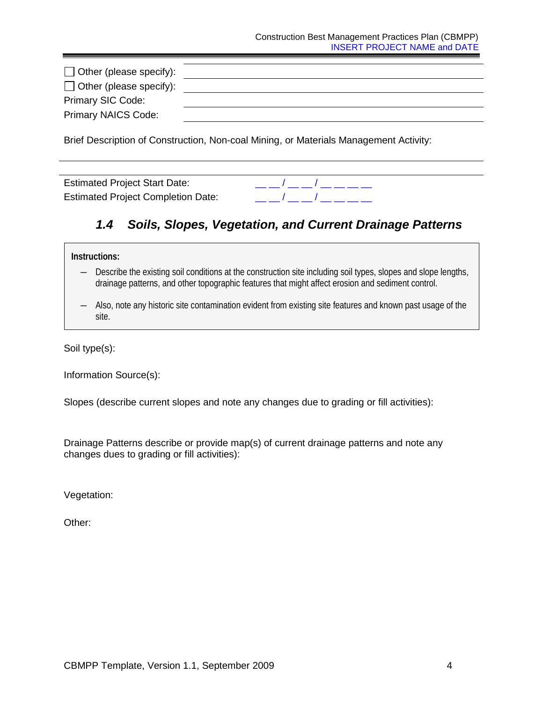| $\Box$ Other (please specify): |  |
|--------------------------------|--|
| $\Box$ Other (please specify): |  |
| <b>Primary SIC Code:</b>       |  |
| Primary NAICS Code:            |  |

Brief Description of Construction, Non-coal Mining, or Materials Management Activity:

<span id="page-7-0"></span>Estimated Project Completion Date:  $\frac{1}{2}$   $\frac{1}{2}$   $\frac{1}{2}$   $\frac{1}{2}$   $\frac{1}{2}$   $\frac{1}{2}$   $\frac{1}{2}$   $\frac{1}{2}$ 



## *1.4 Soils, Slopes, Vegetation, and Current Drainage Patterns*

#### **Instructions:**

- ― Describe the existing soil conditions at the construction site including soil types, slopes and slope lengths, drainage patterns, and other topographic features that might affect erosion and sediment control.
- ― Also, note any historic site contamination evident from existing site features and known past usage of the site.

Soil type(s):

Information Source(s):

Slopes (describe current slopes and note any changes due to grading or fill activities):

Drainage Patterns describe or provide map(s) of current drainage patterns and note any changes dues to grading or fill activities):

Vegetation:

Other: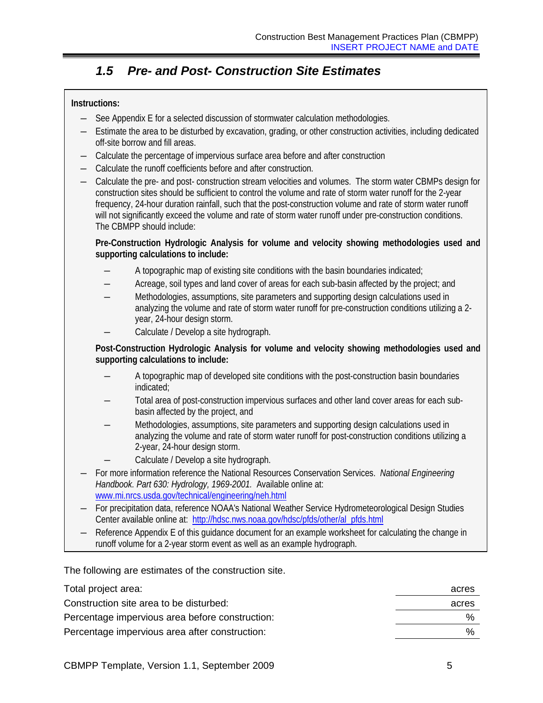## *1.5 Pre- and Post- Construction Site Estimates*

### <span id="page-8-0"></span>**Instructions:**

- ― See Appendix E for a selected discussion of stormwater calculation methodologies.
- ― Estimate the area to be disturbed by excavation, grading, or other construction activities, including dedicated off-site borrow and fill areas.
- ― Calculate the percentage of impervious surface area before and after construction
- ― Calculate the runoff coefficients before and after construction.
- ― Calculate the pre- and post- construction stream velocities and volumes. The storm water CBMPs design for construction sites should be sufficient to control the volume and rate of storm water runoff for the 2-year frequency, 24-hour duration rainfall, such that the post-construction volume and rate of storm water runoff will not significantly exceed the volume and rate of storm water runoff under pre-construction conditions. The CBMPP should include:

**Pre-Construction Hydrologic Analysis for volume and velocity showing methodologies used and supporting calculations to include:**

- A topographic map of existing site conditions with the basin boundaries indicated;
- Acreage, soil types and land cover of areas for each sub-basin affected by the project; and
- ― Methodologies, assumptions, site parameters and supporting design calculations used in analyzing the volume and rate of storm water runoff for pre-construction conditions utilizing a 2 year, 24-hour design storm.
- Calculate / Develop a site hydrograph.

**Post-Construction Hydrologic Analysis for volume and velocity showing methodologies used and supporting calculations to include:**

- A topographic map of developed site conditions with the post-construction basin boundaries indicated;
- ― Total area of post-construction impervious surfaces and other land cover areas for each subbasin affected by the project, and
- Methodologies, assumptions, site parameters and supporting design calculations used in analyzing the volume and rate of storm water runoff for post-construction conditions utilizing a 2-year, 24-hour design storm.
- Calculate / Develop a site hydrograph.
- ― For more information reference the National Resources Conservation Services. *National Engineering Handbook. Part 630: Hydrology, 1969-2001.* Available online at: [www.mi.nrcs.usda.gov/technical/engineering/neh.html](http://www.mi.nrcs.usda.gov/technical/engineering/neh.html)
- ― For precipitation data, reference NOAA's National Weather Service Hydrometeorological Design Studies Center available online at: [http://hdsc.nws.noaa.gov/hdsc/pfds/other/al\\_pfds.html](http://hdsc.nws.noaa.gov/hdsc/pfds/other/al_pfds.html)
- Reference Appendix E of this guidance document for an example worksheet for calculating the change in runoff volume for a 2-year storm event as well as an example hydrograph.

The following are estimates of the construction site.

| Total project area:                             | acres |
|-------------------------------------------------|-------|
| Construction site area to be disturbed:         | acres |
| Percentage impervious area before construction: | %     |
| Percentage impervious area after construction:  | %     |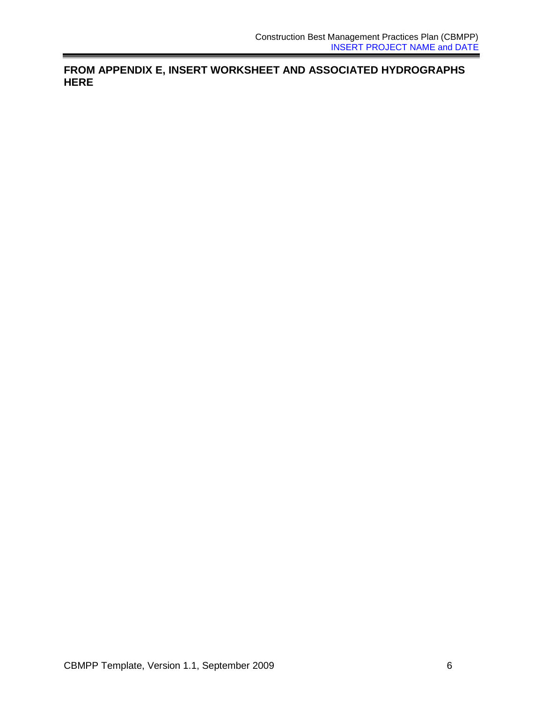**FROM APPENDIX E, INSERT WORKSHEET AND ASSOCIATED HYDROGRAPHS HERE**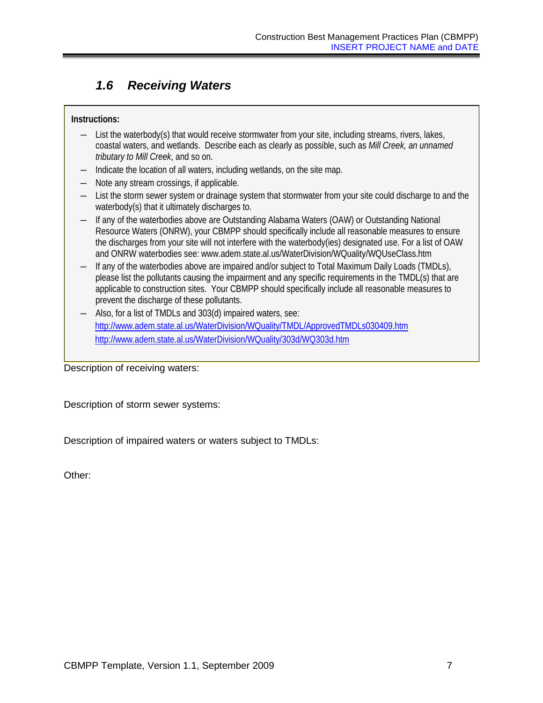## <span id="page-10-0"></span>*1.6 Receiving Waters*

### **Instructions:**

- ― List the waterbody(s) that would receive stormwater from your site, including streams, rivers, lakes, coastal waters, and wetlands. Describe each as clearly as possible, such as *Mill Creek, an unnamed tributary to Mill Creek*, and so on.
- ― Indicate the location of all waters, including wetlands, on the site map.
- ― Note any stream crossings, if applicable.
- ― List the storm sewer system or drainage system that stormwater from your site could discharge to and the waterbody(s) that it ultimately discharges to.
- ― If any of the waterbodies above are Outstanding Alabama Waters (OAW) or Outstanding National Resource Waters (ONRW), your CBMPP should specifically include all reasonable measures to ensure the discharges from your site will not interfere with the waterbody(ies) designated use. For a list of OAW and ONRW waterbodies see: www.adem.state.al.us/WaterDivision/WQuality/WQUseClass.htm
- ― If any of the waterbodies above are impaired and/or subject to Total Maximum Daily Loads (TMDLs), please list the pollutants causing the impairment and any specific requirements in the TMDL(s) that are applicable to construction sites. Your CBMPP should specifically include all reasonable measures to prevent the discharge of these pollutants.
- Also, for a list of TMDLs and 303(d) impaired waters, see: <http://www.adem.state.al.us/WaterDivision/WQuality/TMDL/ApprovedTMDLs030409.htm> http://www.adem.state.al.us/WaterDivision/WQuality/303d/WQ303d.htm

Description of receiving waters:

Description of storm sewer systems:

Description of impaired waters or waters subject to TMDLs:

Other: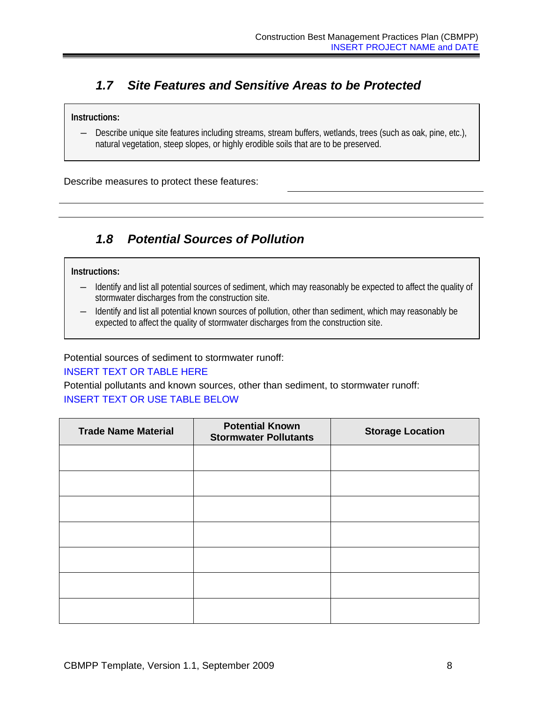## <span id="page-11-0"></span>*1.7 Site Features and Sensitive Areas to be Protected*

#### **Instructions:**

― Describe unique site features including streams, stream buffers, wetlands, trees (such as oak, pine, etc.), natural vegetation, steep slopes, or highly erodible soils that are to be preserved.

Describe measures to protect these features:

## <span id="page-11-1"></span>*1.8 Potential Sources of Pollution*

#### **Instructions:**

- ― Identify and list all potential sources of sediment, which may reasonably be expected to affect the quality of stormwater discharges from the construction site.
- ― Identify and list all potential known sources of pollution, other than sediment, which may reasonably be expected to affect the quality of stormwater discharges from the construction site.

#### Potential sources of sediment to stormwater runoff:

#### INSERT TEXT OR TABLE HERE

Potential pollutants and known sources, other than sediment, to stormwater runoff: INSERT TEXT OR USE TABLE BELOW

| <b>Trade Name Material</b> | <b>Potential Known</b><br><b>Stormwater Pollutants</b> | <b>Storage Location</b> |
|----------------------------|--------------------------------------------------------|-------------------------|
|                            |                                                        |                         |
|                            |                                                        |                         |
|                            |                                                        |                         |
|                            |                                                        |                         |
|                            |                                                        |                         |
|                            |                                                        |                         |
|                            |                                                        |                         |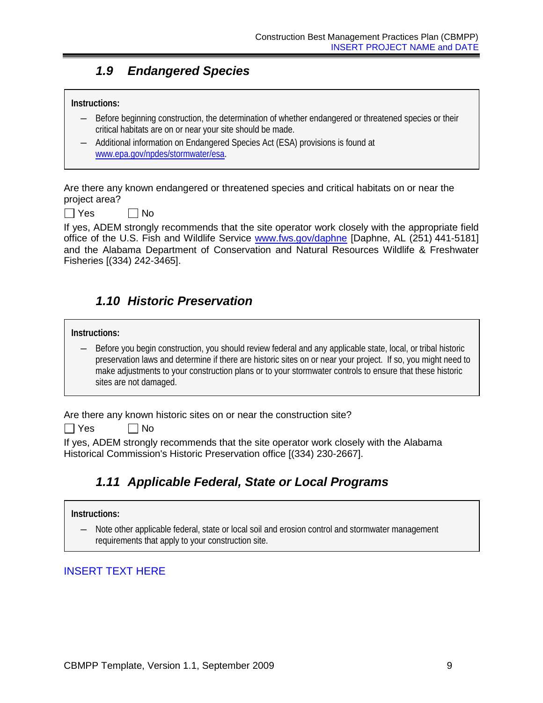## *1.9 Endangered Species*

#### <span id="page-12-0"></span>**Instructions:**

- ― Before beginning construction, the determination of whether endangered or threatened species or their critical habitats are on or near your site should be made.
- ― Additional information on Endangered Species Act (ESA) provisions is found at [www.epa.gov/npdes/stormwater/esa.](http://www.epa.gov/npdes/stormwater/esa)

Are there any known endangered or threatened species and critical habitats on or near the project area?

 $\Box$  Yes  $\Box$  No

If yes, ADEM strongly recommends that the site operator work closely with the appropriate field office of the U.S. Fish and Wildlife Service [www.fws.gov/daphne](http://www.fws.gov/daphne) [Daphne, AL (251) 441-5181] and the Alabama Department of Conservation and Natural Resources Wildlife & Freshwater Fisheries [(334) 242-3465].

## <span id="page-12-1"></span>*1.10 Historic Preservation*

#### **Instructions:**

― Before you begin construction, you should review federal and any applicable state, local, or tribal historic preservation laws and determine if there are historic sites on or near your project. If so, you might need to make adjustments to your construction plans or to your stormwater controls to ensure that these historic sites are not damaged.

Are there any known historic sites on or near the construction site?

 $\Box$  Yes  $\Box$  No

<span id="page-12-2"></span>If yes, ADEM strongly recommends that the site operator work closely with the Alabama Historical Commission's Historic Preservation office [(334) 230-2667].

## *1.11 Applicable Federal, State or Local Programs*

#### **Instructions:**

Note other applicable federal, state or local soil and erosion control and stormwater management requirements that apply to your construction site.

## INSERT TEXT HERE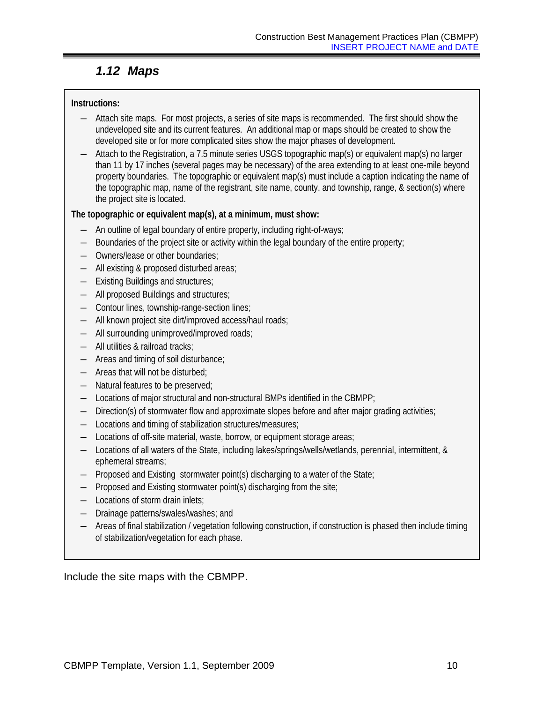## *1.12 Maps*

## <span id="page-13-0"></span>**Instructions:**

- ― Attach site maps. For most projects, a series of site maps is recommended. The first should show the undeveloped site and its current features. An additional map or maps should be created to show the developed site or for more complicated sites show the major phases of development.
- ― Attach to the Registration, a 7.5 minute series USGS topographic map(s) or equivalent map(s) no larger than 11 by 17 inches (several pages may be necessary) of the area extending to at least one-mile beyond property boundaries. The topographic or equivalent map(s) must include a caption indicating the name of the topographic map, name of the registrant, site name, county, and township, range, & section(s) where the project site is located.

## **The topographic or equivalent map(s), at a minimum, must show:**

- ― An outline of legal boundary of entire property, including right-of-ways;
- ― Boundaries of the project site or activity within the legal boundary of the entire property;
- ― Owners/lease or other boundaries;
- ― All existing & proposed disturbed areas;
- ― Existing Buildings and structures;
- ― All proposed Buildings and structures;
- ― Contour lines, township-range-section lines;
- ― All known project site dirt/improved access/haul roads;
- ― All surrounding unimproved/improved roads;
- ― All utilities & railroad tracks;
- ― Areas and timing of soil disturbance;
- ― Areas that will not be disturbed;
- ― Natural features to be preserved;
- ― Locations of major structural and non-structural BMPs identified in the CBMPP;
- ― Direction(s) of stormwater flow and approximate slopes before and after major grading activities;
- ― Locations and timing of stabilization structures/measures;
- ― Locations of off-site material, waste, borrow, or equipment storage areas;
- ― Locations of all waters of the State, including lakes/springs/wells/wetlands, perennial, intermittent, & ephemeral streams;
- ― Proposed and Existing stormwater point(s) discharging to a water of the State;
- ― Proposed and Existing stormwater point(s) discharging from the site;
- ― Locations of storm drain inlets;
- ― Drainage patterns/swales/washes; and
- ― Areas of final stabilization / vegetation following construction, if construction is phased then include timing of stabilization/vegetation for each phase.

Include the site maps with the CBMPP.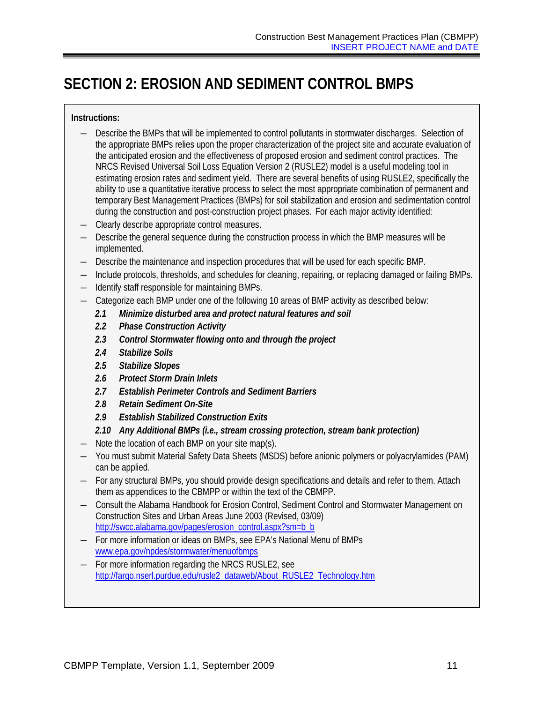## <span id="page-14-0"></span>**SECTION 2: EROSION AND SEDIMENT CONTROL BMPS**

### **Instructions:**

- ― Describe the BMPs that will be implemented to control pollutants in stormwater discharges. Selection of the appropriate BMPs relies upon the proper characterization of the project site and accurate evaluation of the anticipated erosion and the effectiveness of proposed erosion and sediment control practices. The NRCS Revised Universal Soil Loss Equation Version 2 (RUSLE2) model is a useful modeling tool in estimating erosion rates and sediment yield. There are several benefits of using RUSLE2, specifically the ability to use a quantitative iterative process to select the most appropriate combination of permanent and temporary Best Management Practices (BMPs) for soil stabilization and erosion and sedimentation control during the construction and post-construction project phases. For each major activity identified:
- ― Clearly describe appropriate control measures.
- ― Describe the general sequence during the construction process in which the BMP measures will be implemented.
- ― Describe the maintenance and inspection procedures that will be used for each specific BMP.
- ― Include protocols, thresholds, and schedules for cleaning, repairing, or replacing damaged or failing BMPs.
- ― Identify staff responsible for maintaining BMPs.
- ― Categorize each BMP under one of the following 10 areas of BMP activity as described below:
	- *2.1 Minimize disturbed area and protect natural features and soil*
	- *2.2 Phase Construction Activity*
	- *2.3 Control Stormwater flowing onto and through the project*
	- *2.4 Stabilize Soils*
	- *2.5 Stabilize Slopes*
	- *2.6 Protect Storm Drain Inlets*
	- *2.7 Establish Perimeter Controls and Sediment Barriers*
	- *2.8 Retain Sediment On-Site*
	- *2.9 Establish Stabilized Construction Exits*

#### *2.10 Any Additional BMPs (i.e., stream crossing protection, stream bank protection)*

- ― Note the location of each BMP on your site map(s).
- ― You must submit Material Safety Data Sheets (MSDS) before anionic polymers or polyacrylamides (PAM) can be applied.
- ― For any structural BMPs, you should provide design specifications and details and refer to them. Attach them as appendices to the CBMPP or within the text of the CBMPP.
- ― Consult the Alabama Handbook for Erosion Control, Sediment Control and Stormwater Management on Construction Sites and Urban Areas June 2003 (Revised, 03/09) [http://swcc.alabama.gov/pages/erosion\\_control.aspx?sm=b\\_b](http://swcc.alabama.gov/pages/erosion_control.aspx?sm=b_b)
- ― For more information or ideas on BMPs, see EPA's National Menu of BMPs [www.epa.gov/npdes/stormwater/menuofbmps](http://www.epa.gov/npdes/stormwater/menuofbmps)
- ― For more information regarding the NRCS RUSLE2, see [http://fargo.nserl.purdue.edu/rusle2\\_dataweb/About\\_RUSLE2\\_Technology.htm](http://fargo.nserl.purdue.edu/rusle2_dataweb/About_RUSLE2_Technology.htm)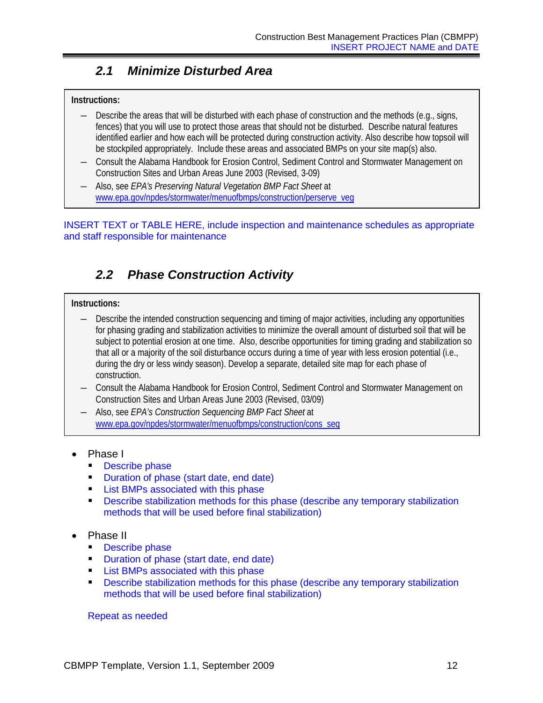## *2.1 Minimize Disturbed Area*

### <span id="page-15-0"></span>**Instructions:**

- ― Describe the areas that will be disturbed with each phase of construction and the methods (e.g., signs, fences) that you will use to protect those areas that should not be disturbed. Describe natural features identified earlier and how each will be protected during construction activity. Also describe how topsoil will be stockpiled appropriately. Include these areas and associated BMPs on your site map(s) also.
- ― Consult the Alabama Handbook for Erosion Control, Sediment Control and Stormwater Management on Construction Sites and Urban Areas June 2003 (Revised, 3-09)
- ― Also, see *EPA's Preserving Natural Vegetation BMP Fact Sheet* at [www.epa.gov/npdes/stormwater/menuofbmps/construction/perserve\\_veg](http://www.epa.gov/npdes/stormwater/menuofbmps/construction/perserve_veg)

<span id="page-15-1"></span>INSERT TEXT or TABLE HERE, include inspection and maintenance schedules as appropriate and staff responsible for maintenance

## *2.2 Phase Construction Activity*

#### **Instructions:**

- ― Describe the intended construction sequencing and timing of major activities, including any opportunities for phasing grading and stabilization activities to minimize the overall amount of disturbed soil that will be subject to potential erosion at one time. Also, describe opportunities for timing grading and stabilization so that all or a majority of the soil disturbance occurs during a time of year with less erosion potential (i.e., during the dry or less windy season). Develop a separate, detailed site map for each phase of construction.
- ― Consult the Alabama Handbook for Erosion Control, Sediment Control and Stormwater Management on Construction Sites and Urban Areas June 2003 (Revised, 03/09)
- ― Also, see *EPA's Construction Sequencing BMP Fact Sheet* at [www.epa.gov/npdes/stormwater/menuofbmps/construction/cons\\_seq](http://www.epa.gov/npdes/stormwater/menuofbmps/construction/cons_seq)
- Phase I
	- **Describe phase**
	- **Duration of phase (start date, end date)**
	- **List BMPs associated with this phase**
	- **Describe stabilization methods for this phase (describe any temporary stabilization** methods that will be used before final stabilization)
- Phase II
	- **Describe phase**
	- **Duration of phase (start date, end date)**
	- **List BMPs associated with this phase**
	- Describe stabilization methods for this phase (describe any temporary stabilization methods that will be used before final stabilization)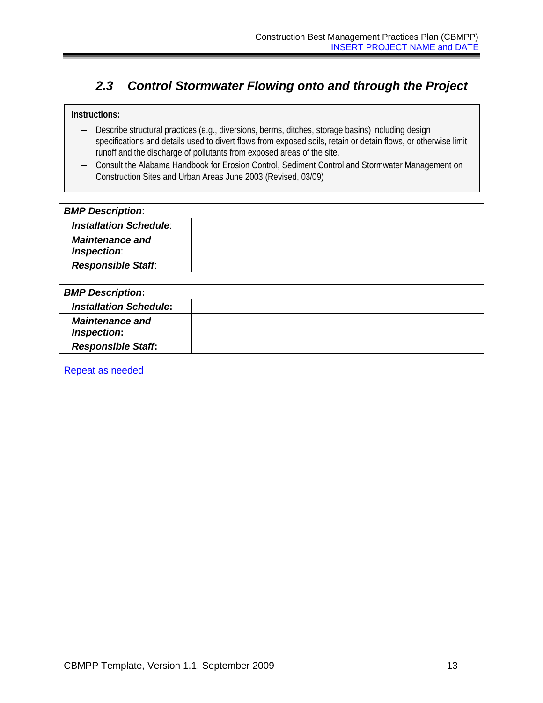## <span id="page-16-0"></span>*2.3 Control Stormwater Flowing onto and through the Project*

#### **Instructions:**

- ― Describe structural practices (e.g., diversions, berms, ditches, storage basins) including design specifications and details used to divert flows from exposed soils, retain or detain flows, or otherwise limit runoff and the discharge of pollutants from exposed areas of the site.
- ― Consult the Alabama Handbook for Erosion Control, Sediment Control and Stormwater Management on Construction Sites and Urban Areas June 2003 (Revised, 03/09)

## *BMP Description*: *Installation Schedule*: *Maintenance and Inspection*: *Responsible Staff*: *BMP Description***:**  *Installation Schedule***:** *Maintenance and Inspection***:** *Responsible Staff***:**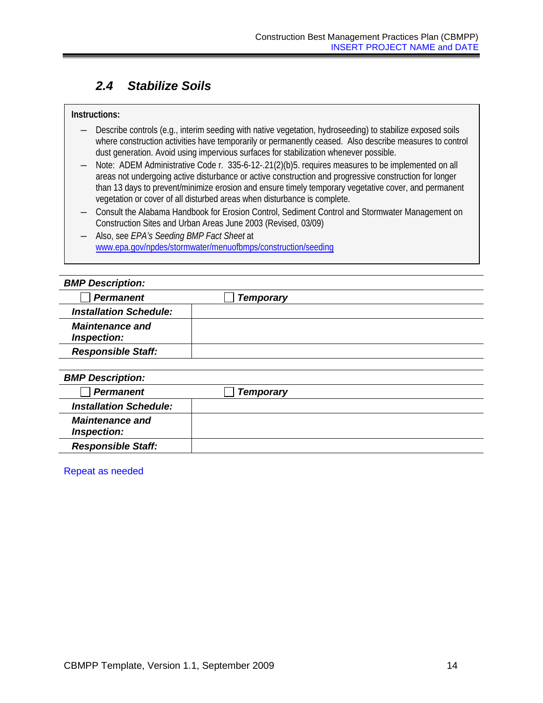## <span id="page-17-0"></span>*2.4 Stabilize Soils*

#### **Instructions:**

- ― Describe controls (e.g., interim seeding with native vegetation, hydroseeding) to stabilize exposed soils where construction activities have temporarily or permanently ceased. Also describe measures to control dust generation. Avoid using impervious surfaces for stabilization whenever possible.
- ― Note: ADEM Administrative Code r. 335-6-12-.21(2)(b)5. requires measures to be implemented on all areas not undergoing active disturbance or active construction and progressive construction for longer than 13 days to prevent/minimize erosion and ensure timely temporary vegetative cover, and permanent vegetation or cover of all disturbed areas when disturbance is complete.
- ― Consult the Alabama Handbook for Erosion Control, Sediment Control and Stormwater Management on Construction Sites and Urban Areas June 2003 (Revised, 03/09)
- ― Also, see *EPA's Seeding BMP Fact Sheet* at [www.epa.gov/npdes/stormwater/menuofbmps/construction/seeding](http://www.epa.gov/npdes/stormwater/menuofbmps/construction/seeding)

| <b>BMP Description:</b>               |                  |  |
|---------------------------------------|------------------|--|
| <b>Permanent</b>                      | <b>Temporary</b> |  |
| <b>Installation Schedule:</b>         |                  |  |
| <b>Maintenance and</b><br>Inspection: |                  |  |
| <b>Responsible Staff:</b>             |                  |  |
|                                       |                  |  |
| <b>BMP Description:</b>               |                  |  |
| <b>Permanent</b>                      | <b>Temporary</b> |  |
| <b>Installation Schedule:</b>         |                  |  |
| <b>Maintenance and</b><br>Inspection: |                  |  |
| <b>Responsible Staff:</b>             |                  |  |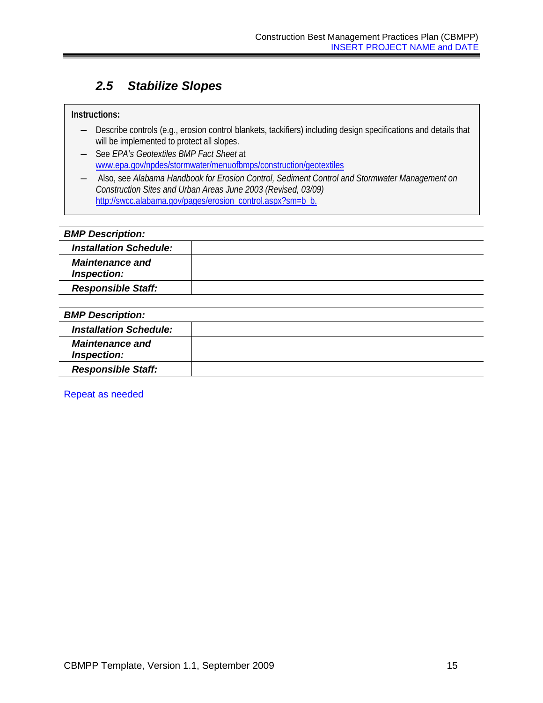## <span id="page-18-0"></span>*2.5 Stabilize Slopes*

#### **Instructions:**

- ― Describe controls (e.g., erosion control blankets, tackifiers) including design specifications and details that will be implemented to protect all slopes.
- ― See *EPA's Geotextiles BMP Fact Sheet* at [www.epa.gov/npdes/stormwater/menuofbmps/construction/geotextiles](http://www.epa.gov/npdes/stormwater/menuofbmps/construction/geotextiles)

― Also, see *Alabama Handbook for Erosion Control, Sediment Control and Stormwater Management on Construction Sites and Urban Areas June 2003 (Revised, 03/09)* [http://swcc.alabama.gov/pages/erosion\\_control.aspx?sm=b\\_b](http://swcc.alabama.gov/pages/erosion_control.aspx?sm=b_b)[.](http://www.swcc.state.sl.us/erosion_handbook.htm.)

#### *BMP Description:*

| <b>Installation Schedule:</b>         |  |
|---------------------------------------|--|
| <b>Maintenance and</b><br>Inspection: |  |
| <b>Responsible Staff:</b>             |  |
|                                       |  |
| <b>BMP Description:</b>               |  |
|                                       |  |

| <b>Installation Schedule:</b>         |  |
|---------------------------------------|--|
| <b>Maintenance and</b><br>Inspection: |  |
| <b>Responsible Staff:</b>             |  |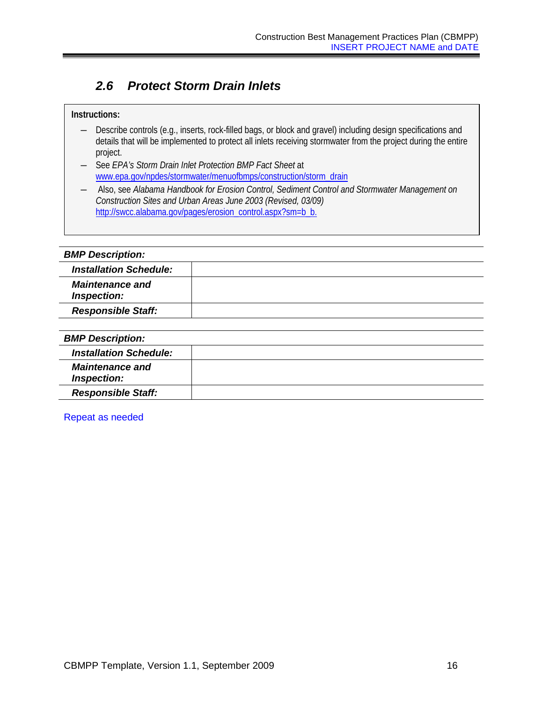## <span id="page-19-0"></span>*2.6 Protect Storm Drain Inlets*

#### **Instructions:**

- ― Describe controls (e.g., inserts, rock-filled bags, or block and gravel) including design specifications and details that will be implemented to protect all inlets receiving stormwater from the project during the entire project.
- ― See *EPA's Storm Drain Inlet Protection BMP Fact Sheet* at [www.epa.gov/npdes/stormwater/menuofbmps/construction/storm\\_drain](http://www.epa.gov/npdes/stormwater/menuofbmps/construction/storm_drain)

― Also, see *Alabama Handbook for Erosion Control, Sediment Control and Stormwater Management on Construction Sites and Urban Areas June 2003 (Revised, 03/09)* [http://swcc.alabama.gov/pages/erosion\\_control.aspx?sm=b\\_b](http://swcc.alabama.gov/pages/erosion_control.aspx?sm=b_b)[.](http://www.swcc.state.sl.us/erosion_handbook.htm.)

| <b>BMP Description:</b>               |  |
|---------------------------------------|--|
| <b>Installation Schedule:</b>         |  |
| <b>Maintenance and</b><br>Inspection: |  |
| <b>Responsible Staff:</b>             |  |
|                                       |  |
| <b>BMP Description:</b>               |  |
| <b>Installation Schedule:</b>         |  |
| <b>Maintenance and</b><br>Inspection: |  |
| <b>Responsible Staff:</b>             |  |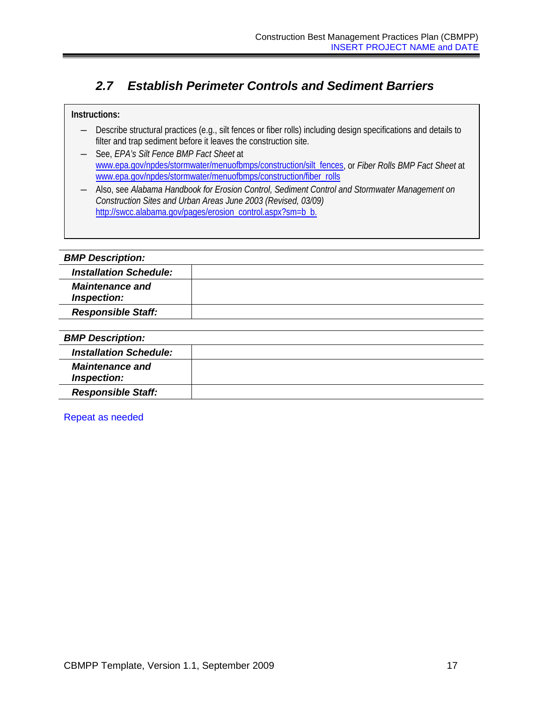## <span id="page-20-0"></span>*2.7 Establish Perimeter Controls and Sediment Barriers*

#### **Instructions:**

- ― Describe structural practices (e.g., silt fences or fiber rolls) including design specifications and details to filter and trap sediment before it leaves the construction site.
- ― See, *EPA's Silt Fence BMP Fact Sheet* at [www.epa.gov/npdes/stormwater/menuofbmps/construction/silt\\_fences,](http://www.epa.gov/npdes/pubs/www.epa.gov/npdes/stormwater/menuofbmps/construction/silt_fences) or *Fiber Rolls BMP Fact Sheet* at [www.epa.gov/npdes/stormwater/menuofbmps/construction/fiber\\_rolls](http://www.epa.gov/npdes/stormwater/menuofbmps/construction/fiber_rolls)

― Also, see *Alabama Handbook for Erosion Control, Sediment Control and Stormwater Management on Construction Sites and Urban Areas June 2003 (Revised, 03/09)* [http://swcc.alabama.gov/pages/erosion\\_control.aspx?sm=b\\_b](http://swcc.alabama.gov/pages/erosion_control.aspx?sm=b_b)[.](http://www.swcc.state.sl.us/erosion_handbook.htm.)

| <b>BMP Description:</b>               |  |
|---------------------------------------|--|
| <b>Installation Schedule:</b>         |  |
| <b>Maintenance and</b><br>Inspection: |  |
| <b>Responsible Staff:</b>             |  |
|                                       |  |
| <b>BMP Description:</b>               |  |
| <b>Installation Schedule:</b>         |  |
| <b>Maintenance and</b><br>Inspection: |  |
| <b>Responsible Staff:</b>             |  |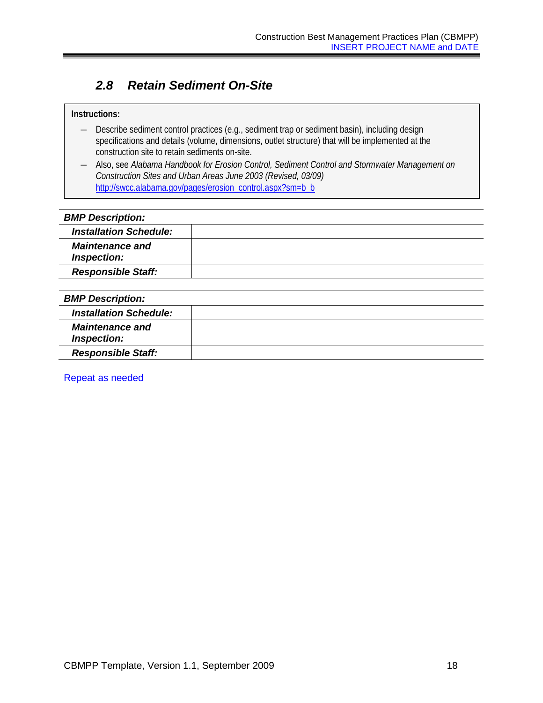## <span id="page-21-0"></span>*2.8 Retain Sediment On-Site*

#### **Instructions:**

- ― Describe sediment control practices (e.g., sediment trap or sediment basin), including design specifications and details (volume, dimensions, outlet structure) that will be implemented at the construction site to retain sediments on-site.
- ― Also, see *Alabama Handbook for Erosion Control, Sediment Control and Stormwater Management on Construction Sites and Urban Areas June 2003 (Revised, 03/09)*  [http://swcc.alabama.gov/pages/erosion\\_control.aspx?sm=b\\_b](http://swcc.alabama.gov/pages/erosion_control.aspx?sm=b_b)

## *BMP Description: Installation Schedule: Maintenance and Inspection: Responsible Staff:*

| <b>BMP Description:</b>               |  |
|---------------------------------------|--|
| <b>Installation Schedule:</b>         |  |
| <b>Maintenance and</b><br>Inspection: |  |
| <b>Responsible Staff:</b>             |  |
|                                       |  |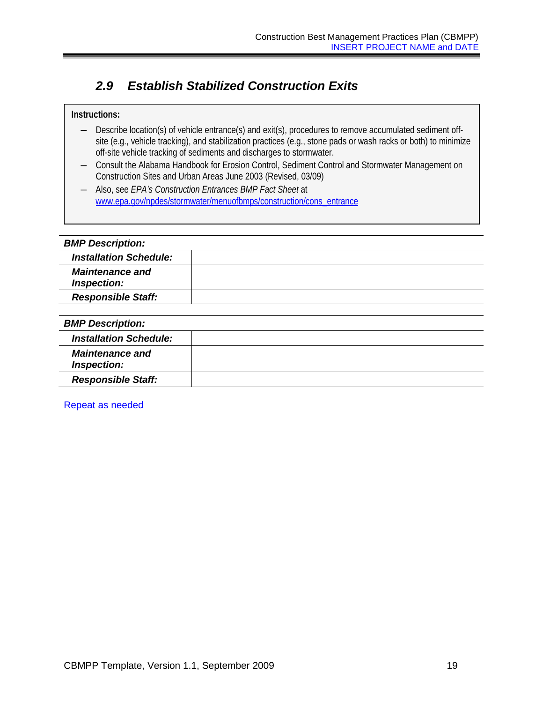## <span id="page-22-0"></span>*2.9 Establish Stabilized Construction Exits*

#### **Instructions:**

- ― Describe location(s) of vehicle entrance(s) and exit(s), procedures to remove accumulated sediment offsite (e.g., vehicle tracking), and stabilization practices (e.g., stone pads or wash racks or both) to minimize off-site vehicle tracking of sediments and discharges to stormwater.
- ― Consult the Alabama Handbook for Erosion Control, Sediment Control and Stormwater Management on Construction Sites and Urban Areas June 2003 (Revised, 03/09)
- ― Also, see *EPA's Construction Entrances BMP Fact Sheet* at [www.epa.gov/npdes/stormwater/menuofbmps/construction/cons\\_entrance](http://www.epa.gov/npdes/stormwater/menuofbmps/construction/cons_entrance)

| <b>BMP Description:</b>               |  |
|---------------------------------------|--|
| <b>Installation Schedule:</b>         |  |
| <b>Maintenance and</b><br>Inspection: |  |
| <b>Responsible Staff:</b>             |  |
|                                       |  |
| <b>BMP Description:</b>               |  |
| <b>Installation Schedule:</b>         |  |
| <b>Maintenance and</b><br>Inspection: |  |
| <b>Responsible Staff:</b>             |  |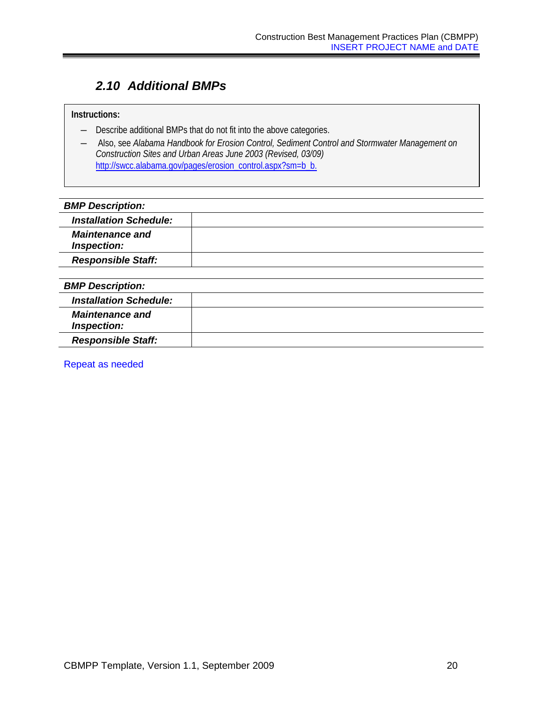## <span id="page-23-0"></span>*2.10 Additional BMPs*

### **Instructions:**

- ― Describe additional BMPs that do not fit into the above categories.
- ― Also, see *Alabama Handbook for Erosion Control, Sediment Control and Stormwater Management on Construction Sites and Urban Areas June 2003 (Revised, 03/09)* [http://swcc.alabama.gov/pages/erosion\\_control.aspx?sm=b\\_b](http://swcc.alabama.gov/pages/erosion_control.aspx?sm=b_b)[.](http://www.swcc.state.sl.us/erosion_handbook.htm.)

#### *BMP Description:*

| <b>Installation Schedule:</b>         |  |
|---------------------------------------|--|
| <b>Maintenance and</b><br>Inspection: |  |
| <b>Responsible Staff:</b>             |  |

#### *BMP Description:*

| <b>Installation Schedule:</b>         |  |
|---------------------------------------|--|
| <b>Maintenance and</b><br>Inspection: |  |
| <b>Responsible Staff:</b>             |  |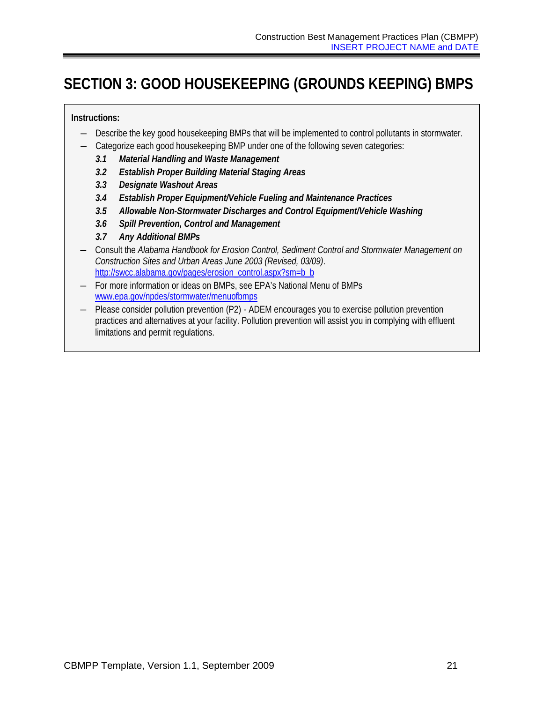## <span id="page-24-0"></span>**SECTION 3: GOOD HOUSEKEEPING (GROUNDS KEEPING) BMPS**

### **Instructions:**

- ― Describe the key good housekeeping BMPs that will be implemented to control pollutants in stormwater.
- ― Categorize each good housekeeping BMP under one of the following seven categories:
	- *3.1 Material Handling and Waste Management*
	- *3.2 Establish Proper Building Material Staging Areas*
	- *3.3 Designate Washout Areas*
	- *3.4 Establish Proper Equipment/Vehicle Fueling and Maintenance Practices*
	- *3.5 Allowable Non-Stormwater Discharges and Control Equipment/Vehicle Washing*
	- *3.6 Spill Prevention, Control and Management*
	- *3.7 Any Additional BMPs*
- ― Consult the *Alabama Handbook for Erosion Control, Sediment Control and Stormwater Management on Construction Sites and Urban Areas June 2003 (Revised, 03/09)*. [http://swcc.alabama.gov/pages/erosion\\_control.aspx?sm=b\\_b](http://swcc.alabama.gov/pages/erosion_control.aspx?sm=b_b)\_
- ― For more information or ideas on BMPs, see EPA's National Menu of BMPs [www.epa.gov/npdes/stormwater/menuofbmps](http://www.epa.gov/npdes/stormwater/menuofbmps)
- ― Please consider pollution prevention (P2) ADEM encourages you to exercise pollution prevention practices and alternatives at your facility. Pollution prevention will assist you in complying with effluent limitations and permit regulations.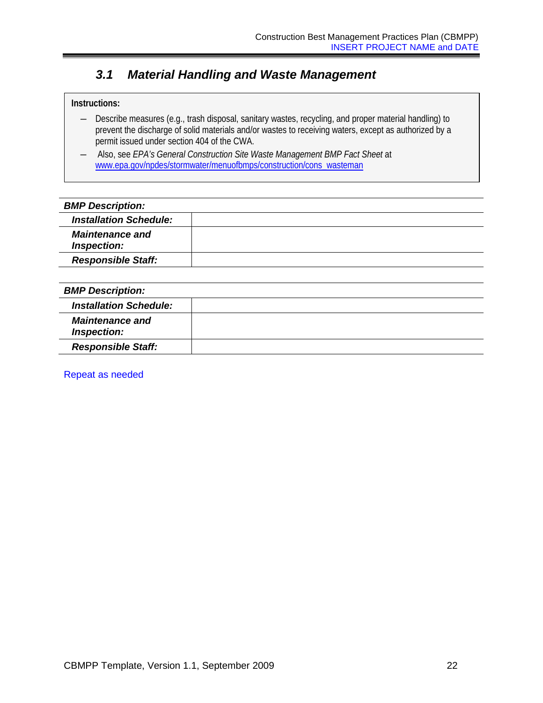## <span id="page-25-0"></span>*3.1 Material Handling and Waste Management*

### **Instructions:**

- ― Describe measures (e.g., trash disposal, sanitary wastes, recycling, and proper material handling) to prevent the discharge of solid materials and/or wastes to receiving waters, except as authorized by a permit issued under section 404 of the CWA.
- ― Also, see *EPA's General Construction Site Waste Management BMP Fact Sheet* at [www.epa.gov/npdes/stormwater/menuofbmps/construction/cons\\_wasteman](http://www.epa.gov/npdes/stormwater/menuofbmps/construction/cons_wasteman)

| <b>BMP Description:</b>               |  |
|---------------------------------------|--|
| <b>Installation Schedule:</b>         |  |
| <b>Maintenance and</b><br>Inspection: |  |
| <b>Responsible Staff:</b>             |  |
|                                       |  |

| <b>BMP Description:</b>               |  |
|---------------------------------------|--|
| <b>Installation Schedule:</b>         |  |
| <b>Maintenance and</b><br>Inspection: |  |
| <b>Responsible Staff:</b>             |  |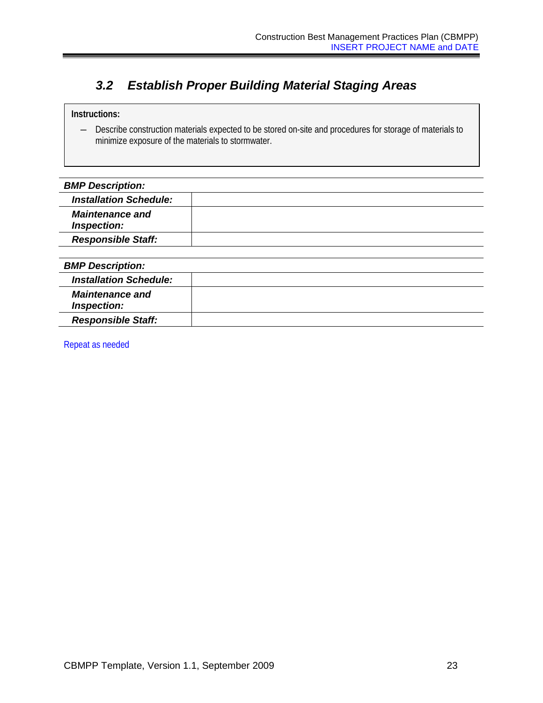## <span id="page-26-0"></span>*3.2 Establish Proper Building Material Staging Areas*

### **Instructions:**

― Describe construction materials expected to be stored on-site and procedures for storage of materials to minimize exposure of the materials to stormwater.

| <b>BMP Description:</b>               |  |
|---------------------------------------|--|
| <b>Installation Schedule:</b>         |  |
| <b>Maintenance and</b><br>Inspection: |  |
| <b>Responsible Staff:</b>             |  |
|                                       |  |
| <b>BMP Description:</b>               |  |
| <b>Installation Schedule:</b>         |  |
| <b>Maintenance and</b><br>Inspection: |  |
| <b>Responsible Staff:</b>             |  |
|                                       |  |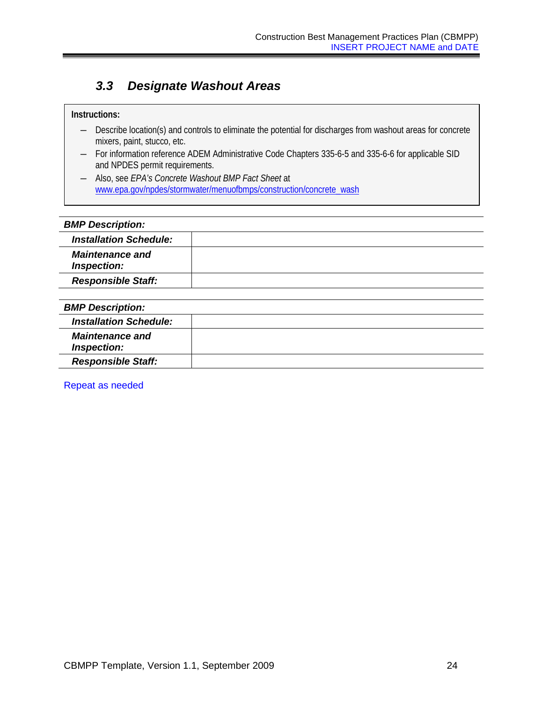## <span id="page-27-0"></span>*3.3 Designate Washout Areas*

### **Instructions:**

- ― Describe location(s) and controls to eliminate the potential for discharges from washout areas for concrete mixers, paint, stucco, etc.
- ― For information reference ADEM Administrative Code Chapters 335-6-5 and 335-6-6 for applicable SID and NPDES permit requirements.
- ― Also, see *EPA's Concrete Washout BMP Fact Sheet* at [www.epa.gov/npdes/stormwater/menuofbmps/construction/concrete\\_wash](http://www.epa.gov/npdes/stormwater/menuofbmps/construction/concrete_wash)

#### *BMP Description:*

| <b>Installation Schedule:</b>         |  |
|---------------------------------------|--|
| <b>Maintenance and</b><br>Inspection: |  |
| <b>Responsible Staff:</b>             |  |
|                                       |  |
| <b>BMP Description:</b>               |  |
| <b>Installation Schedule:</b>         |  |
| <b>Maintenance and</b>                |  |

Repeat as needed

*Responsible Staff:* 

*Inspection:*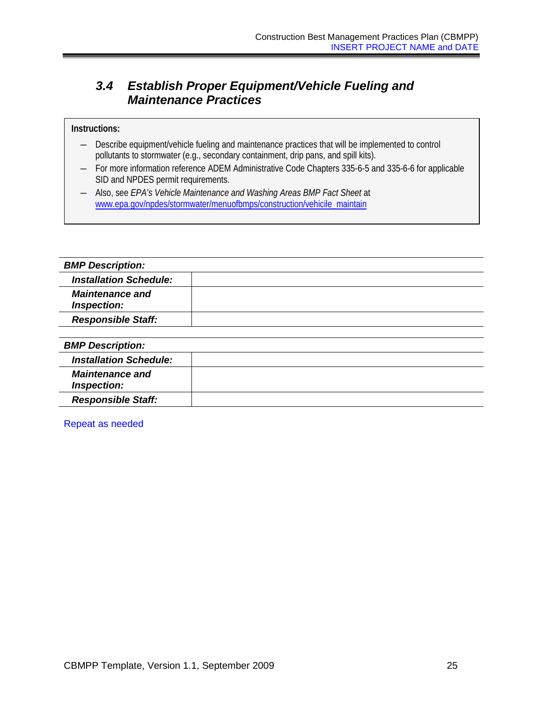## <span id="page-28-0"></span>*3.4 Establish Proper Equipment/Vehicle Fueling and Maintenance Practices*

#### **Instructions:**

- ― Describe equipment/vehicle fueling and maintenance practices that will be implemented to control pollutants to stormwater (e.g., secondary containment, drip pans, and spill kits).
- ― For more information reference ADEM Administrative Code Chapters 335-6-5 and 335-6-6 for applicable SID and NPDES permit requirements.
- ― Also, see *EPA's Vehicle Maintenance and Washing Areas BMP Fact Sheet* at [www.epa.gov/npdes/stormwater/menuofbmps/construction/vehicile\\_maintain](http://cfpub1.epa.gov/npdes/stormwater/menuofbmps/index.cfm?action=browse&Rbutton=detail&bmp=63&minmeasure=4icile_maintain)

| <b>BMP Description:</b>               |  |
|---------------------------------------|--|
| <b>Installation Schedule:</b>         |  |
| <b>Maintenance and</b><br>Inspection: |  |
| <b>Responsible Staff:</b>             |  |
|                                       |  |
| <b>BMP Description:</b>               |  |
| <b>Installation Schedule:</b>         |  |
| <b>Maintenance and</b><br>Inspection: |  |
| <b>Responsible Staff:</b>             |  |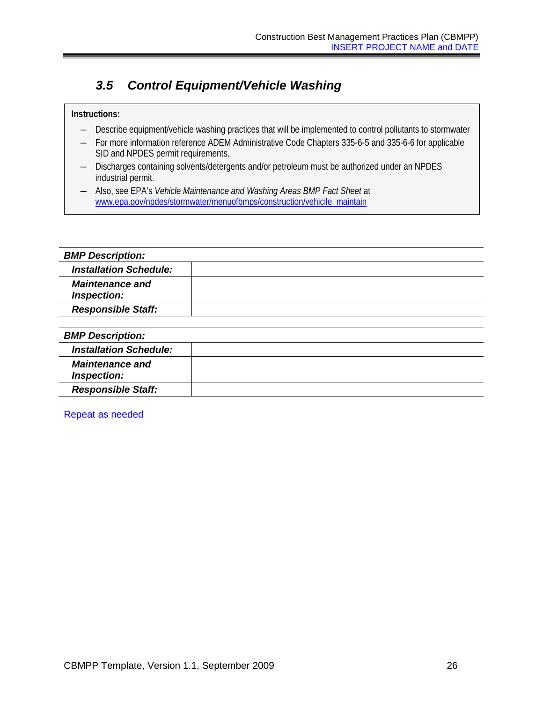## <span id="page-29-0"></span>*3.5 Control Equipment/Vehicle Washing*

### **Instructions:**

- ― Describe equipment/vehicle washing practices that will be implemented to control pollutants to stormwater
- ― For more information reference ADEM Administrative Code Chapters 335-6-5 and 335-6-6 for applicable SID and NPDES permit requirements.
- ― Discharges containing solvents/detergents and/or petroleum must be authorized under an NPDES industrial permit.
- ― Also, see EPA's *Vehicle Maintenance and Washing Areas BMP Fact Sheet* at [www.epa.gov/npdes/stormwater/menuofbmps/construction/vehicile\\_maintain](http://www.epa.gov/npdes/stormwater/menuofbmps/construction/vehicile_maintain)

| <b>BMP Description:</b>               |  |
|---------------------------------------|--|
| <b>Installation Schedule:</b>         |  |
| <b>Maintenance and</b><br>Inspection: |  |
| <b>Responsible Staff:</b>             |  |
|                                       |  |
| <b>BMP Description:</b>               |  |
| <b>Installation Schedule:</b>         |  |
| <b>Maintenance and</b><br>Inspection: |  |
| <b>Responsible Staff:</b>             |  |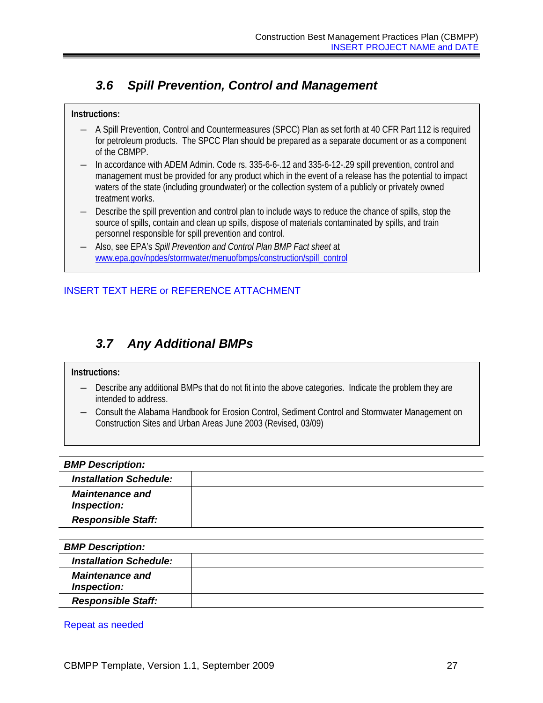## <span id="page-30-0"></span>*3.6 Spill Prevention, Control and Management*

#### **Instructions:**

- ― A Spill Prevention, Control and Countermeasures (SPCC) Plan as set forth at 40 CFR Part 112 is required for petroleum products. The SPCC Plan should be prepared as a separate document or as a component of the CBMPP.
- In accordance with ADEM Admin. Code rs. 335-6-6-.12 and 335-6-12-.29 spill prevention, control and management must be provided for any product which in the event of a release has the potential to impact waters of the state (including groundwater) or the collection system of a publicly or privately owned treatment works.
- Describe the spill prevention and control plan to include ways to reduce the chance of spills, stop the source of spills, contain and clean up spills, dispose of materials contaminated by spills, and train personnel responsible for spill prevention and control.
- ― Also, see EPA's *Spill Prevention and Control Plan BMP Fact sheet* at [www.epa.gov/npdes/stormwater/menuofbmps/construction/spill\\_control](http://www.epa.gov/npdes/stormwater/menuofbmps/construction/spill_control)

## INSERT TEXT HERE or REFERENCE ATTACHMENT

## <span id="page-30-1"></span>*3.7 Any Additional BMPs*

#### **Instructions:**

- ― Describe any additional BMPs that do not fit into the above categories. Indicate the problem they are intended to address.
- ― Consult the Alabama Handbook for Erosion Control, Sediment Control and Stormwater Management on Construction Sites and Urban Areas June 2003 (Revised, 03/09)

| <b>BMP Description:</b>               |  |
|---------------------------------------|--|
| <b>Installation Schedule:</b>         |  |
| <b>Maintenance and</b><br>Inspection: |  |
| <b>Responsible Staff:</b>             |  |
|                                       |  |
| <b>BMP Description:</b>               |  |
| <b>Installation Schedule:</b>         |  |
| <b>Maintenance and</b><br>Inspection: |  |
| <b>Responsible Staff:</b>             |  |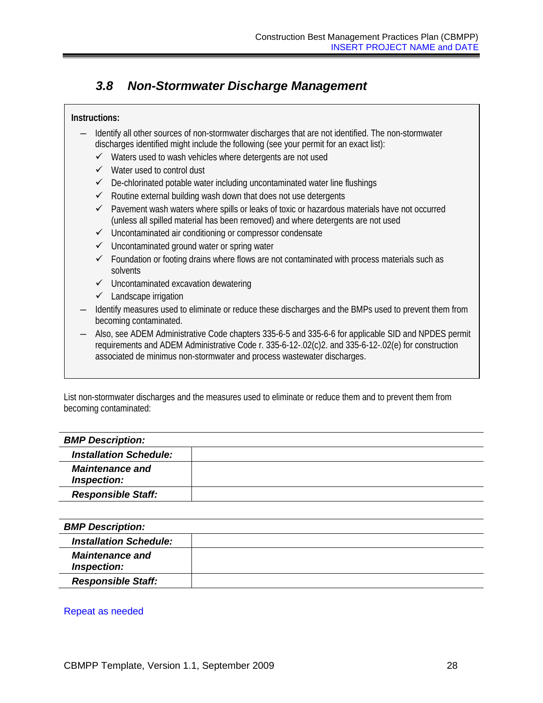## <span id="page-31-0"></span>*3.8 Non-Stormwater Discharge Management*

#### **Instructions:**

- ― Identify all other sources of non-stormwater discharges that are not identified. The non-stormwater discharges identified might include the following (see your permit for an exact list):
	- $\checkmark$  Waters used to wash vehicles where detergents are not used
	- $\checkmark$  Water used to control dust
	- De-chlorinated potable water including uncontaminated water line flushings
	- $\checkmark$  Routine external building wash down that does not use detergents
	- $\checkmark$  Pavement wash waters where spills or leaks of toxic or hazardous materials have not occurred (unless all spilled material has been removed) and where detergents are not used
	- $\checkmark$  Uncontaminated air conditioning or compressor condensate
	- $\checkmark$  Uncontaminated ground water or spring water
	- $\checkmark$  Foundation or footing drains where flows are not contaminated with process materials such as solvents
	- $\checkmark$  Uncontaminated excavation dewatering
	- $\checkmark$  Landscape irrigation
- ― Identify measures used to eliminate or reduce these discharges and the BMPs used to prevent them from becoming contaminated.
- ― Also, see ADEM Administrative Code chapters 335-6-5 and 335-6-6 for applicable SID and NPDES permit requirements and ADEM Administrative Code r. 335-6-12-.02(c)2. and 335-6-12-.02(e) for construction associated de minimus non-stormwater and process wastewater discharges.

List non-stormwater discharges and the measures used to eliminate or reduce them and to prevent them from becoming contaminated:

| <b>BMP Description:</b>               |  |
|---------------------------------------|--|
| <b>Installation Schedule:</b>         |  |
| <b>Maintenance and</b><br>Inspection: |  |
| <b>Responsible Staff:</b>             |  |

| <b>BMP Description:</b>               |  |
|---------------------------------------|--|
| <b>Installation Schedule:</b>         |  |
| <b>Maintenance and</b><br>Inspection: |  |
| <b>Responsible Staff:</b>             |  |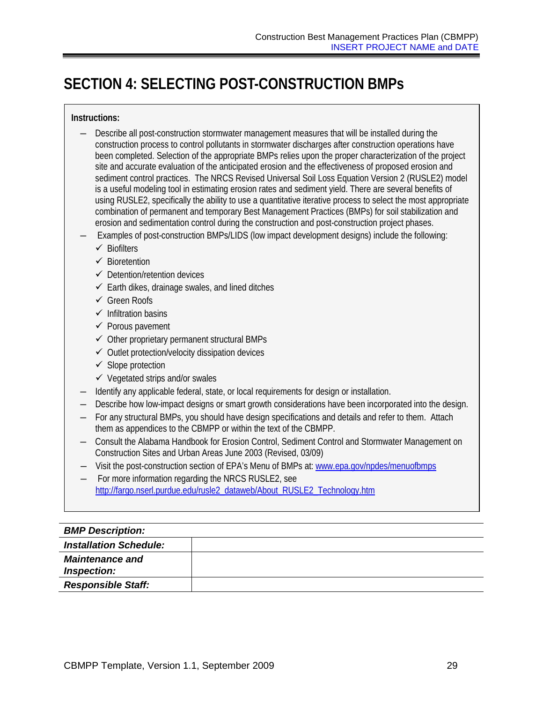## <span id="page-32-0"></span>**SECTION 4: SELECTING POST-CONSTRUCTION BMPs**

#### **Instructions:**

- ― Describe all post-construction stormwater management measures that will be installed during the construction process to control pollutants in stormwater discharges after construction operations have been completed. Selection of the appropriate BMPs relies upon the proper characterization of the project site and accurate evaluation of the anticipated erosion and the effectiveness of proposed erosion and sediment control practices. The NRCS Revised Universal Soil Loss Equation Version 2 (RUSLE2) model is a useful modeling tool in estimating erosion rates and sediment yield. There are several benefits of using RUSLE2, specifically the ability to use a quantitative iterative process to select the most appropriate combination of permanent and temporary Best Management Practices (BMPs) for soil stabilization and erosion and sedimentation control during the construction and post-construction project phases.
- ― Examples of post-construction BMPs/LIDS (low impact development designs) include the following:
	- $\checkmark$  Biofilters
	- $\checkmark$  Bioretention
	- $\checkmark$  Detention/retention devices
	- $\checkmark$  Earth dikes, drainage swales, and lined ditches
	- **√ Green Roofs**
	- $\checkmark$  Infiltration basins
	- $\checkmark$  Porous pavement
	- $\checkmark$  Other proprietary permanent structural BMPs
	- $\checkmark$  Outlet protection/velocity dissipation devices
	- $\checkmark$  Slope protection
	- $\checkmark$  Vegetated strips and/or swales
- ― Identify any applicable federal, state, or local requirements for design or installation.
- Describe how low-impact designs or smart growth considerations have been incorporated into the design.
- ― For any structural BMPs, you should have design specifications and details and refer to them. Attach them as appendices to the CBMPP or within the text of the CBMPP.
- ― Consult the Alabama Handbook for Erosion Control, Sediment Control and Stormwater Management on Construction Sites and Urban Areas June 2003 (Revised, 03/09)
- ― Visit the post-construction section of EPA's Menu of BMPs at: [www.epa.gov/npdes/menuofbmps](http://www.epa.gov/npdes/menuofbmps)
- For more information regarding the NRCS RUSLE2, see http://fargo.nserl.purdue.edu/rusle2\_dataweb/About\_RUSLE2\_Technology.htm

## *BMP Description: Installation Schedule: Maintenance and Inspection: Responsible Staff:*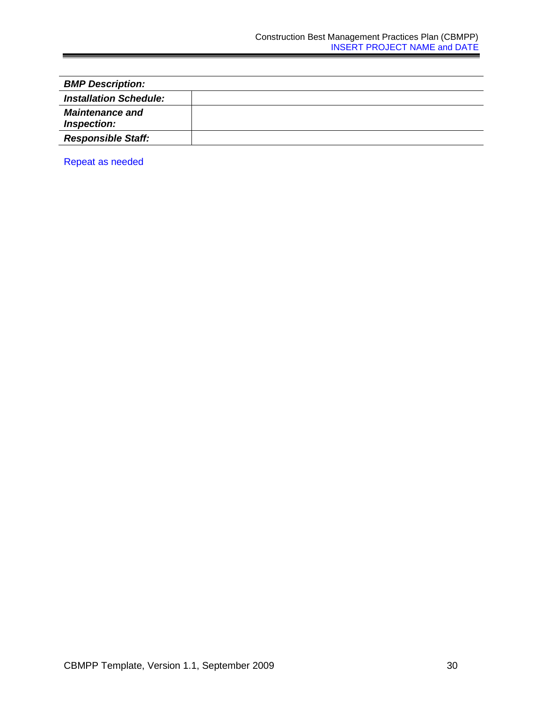| <b>BMP Description:</b>               |  |  |  |  |
|---------------------------------------|--|--|--|--|
| <b>Installation Schedule:</b>         |  |  |  |  |
| <b>Maintenance and</b><br>Inspection: |  |  |  |  |
| <b>Responsible Staff:</b>             |  |  |  |  |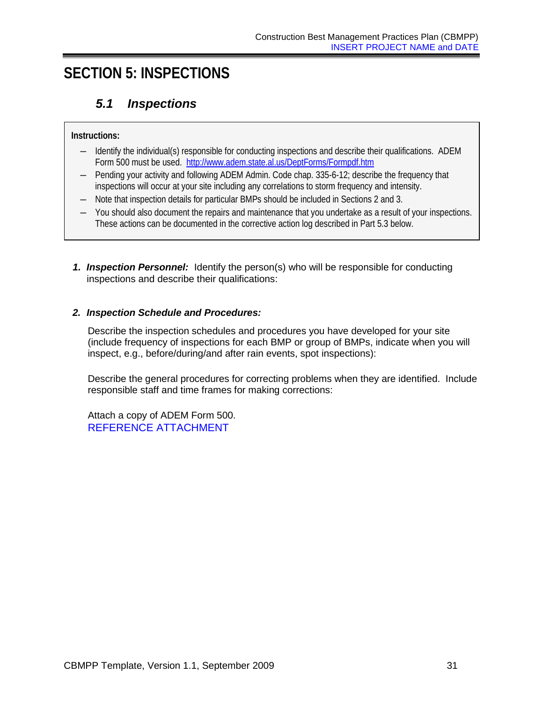## <span id="page-34-1"></span><span id="page-34-0"></span>**SECTION 5: INSPECTIONS**

## *5.1 Inspections*

### **Instructions:**

- ― Identify the individual(s) responsible for conducting inspections and describe their qualifications. ADEM Form 500 must be used. <http://www.adem.state.al.us/DeptForms/Formpdf.htm>
- ― Pending your activity and following ADEM Admin. Code chap. 335-6-12; describe the frequency that inspections will occur at your site including any correlations to storm frequency and intensity.
- ― Note that inspection details for particular BMPs should be included in Sections 2 and 3.
- ― You should also document the repairs and maintenance that you undertake as a result of your inspections. These actions can be documented in the corrective action log described in Part 5.3 below.
- *1. Inspection Personnel:* Identify the person(s) who will be responsible for conducting inspections and describe their qualifications:

### *2. Inspection Schedule and Procedures:*

Describe the inspection schedules and procedures you have developed for your site (include frequency of inspections for each BMP or group of BMPs, indicate when you will inspect, e.g., before/during/and after rain events, spot inspections):

Describe the general procedures for correcting problems when they are identified. Include responsible staff and time frames for making corrections:

Attach a copy of ADEM Form 500. REFERENCE ATTACHMENT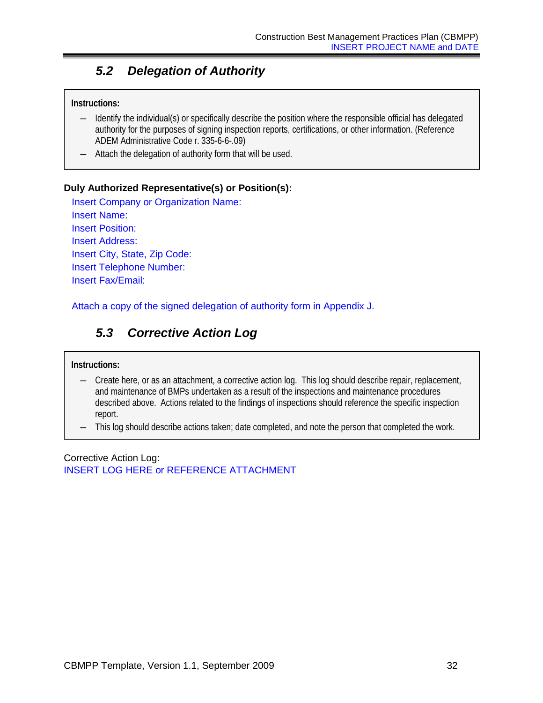## <span id="page-35-0"></span>*5.2 Delegation of Authority*

#### **Instructions:**

- ― Identify the individual(s) or specifically describe the position where the responsible official has delegated authority for the purposes of signing inspection reports, certifications, or other information. (Reference ADEM Administrative Code r. 335-6-6-.09)
- ― Attach the delegation of authority form that will be used.

#### **Duly Authorized Representative(s) or Position(s):**

Insert Company or Organization Name: Insert Name: Insert Position: Insert Address: Insert City, State, Zip Code: Insert Telephone Number: Insert Fax/Email:

<span id="page-35-1"></span>Attach a copy of the signed delegation of authority form in Appendix J.

## *5.3 Corrective Action Log*

#### **Instructions:**

- ― Create here, or as an attachment, a corrective action log. This log should describe repair, replacement, and maintenance of BMPs undertaken as a result of the inspections and maintenance procedures described above. Actions related to the findings of inspections should reference the specific inspection report.
- ― This log should describe actions taken; date completed, and note the person that completed the work.

Corrective Action Log: INSERT LOG HERE or REFERENCE ATTACHMENT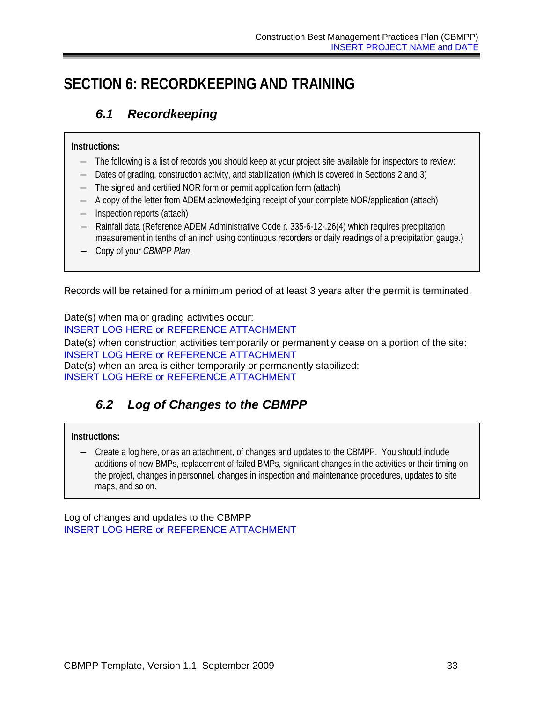## <span id="page-36-1"></span><span id="page-36-0"></span>**SECTION 6: RECORDKEEPING AND TRAINING**

## *6.1 Recordkeeping*

### **Instructions:**

- ― The following is a list of records you should keep at your project site available for inspectors to review:
- ― Dates of grading, construction activity, and stabilization (which is covered in Sections 2 and 3)
- ― The signed and certified NOR form or permit application form (attach)
- ― A copy of the letter from ADEM acknowledging receipt of your complete NOR/application (attach)
- ― Inspection reports (attach)
- ― Rainfall data (Reference ADEM Administrative Code r. 335-6-12-.26(4) which requires precipitation measurement in tenths of an inch using continuous recorders or daily readings of a precipitation gauge.)
- ― Copy of your *CBMPP Plan*.

Records will be retained for a minimum period of at least 3 years after the permit is terminated.

Date(s) when major grading activities occur: INSERT LOG HERE or REFERENCE ATTACHMENT Date(s) when construction activities temporarily or permanently cease on a portion of the site: INSERT LOG HERE or REFERENCE ATTACHMENT Date(s) when an area is either temporarily or permanently stabilized: INSERT LOG HERE or REFERENCE ATTACHMENT

## <span id="page-36-2"></span>*6.2 Log of Changes to the CBMPP*

## **Instructions:**

― Create a log here, or as an attachment, of changes and updates to the CBMPP. You should include additions of new BMPs, replacement of failed BMPs, significant changes in the activities or their timing on the project, changes in personnel, changes in inspection and maintenance procedures, updates to site maps, and so on.

Log of changes and updates to the CBMPP INSERT LOG HERE or REFERENCE ATTACHMENT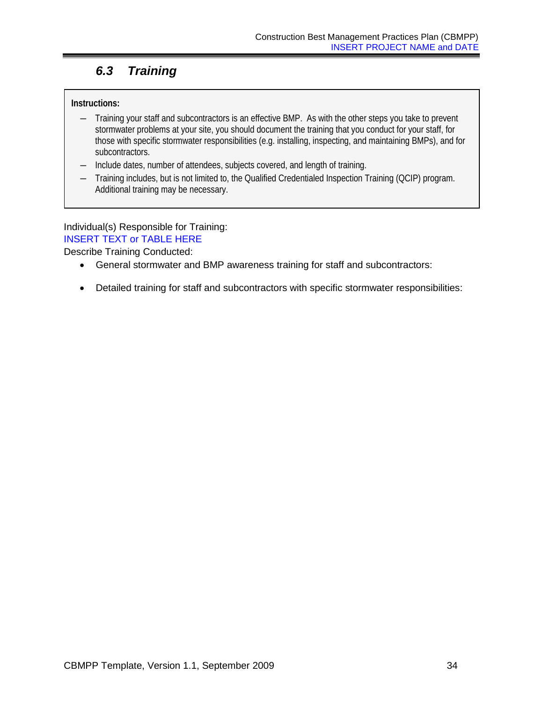## <span id="page-37-0"></span>*6.3 Training*

### **Instructions:**

- ― Training your staff and subcontractors is an effective BMP. As with the other steps you take to prevent stormwater problems at your site, you should document the training that you conduct for your staff, for those with specific stormwater responsibilities (e.g. installing, inspecting, and maintaining BMPs), and for subcontractors.
- ― Include dates, number of attendees, subjects covered, and length of training.
- ― Training includes, but is not limited to, the Qualified Credentialed Inspection Training (QCIP) program. Additional training may be necessary.

### Individual(s) Responsible for Training: INSERT TEXT or TABLE HERE

Describe Training Conducted:

- General stormwater and BMP awareness training for staff and subcontractors:
- Detailed training for staff and subcontractors with specific stormwater responsibilities: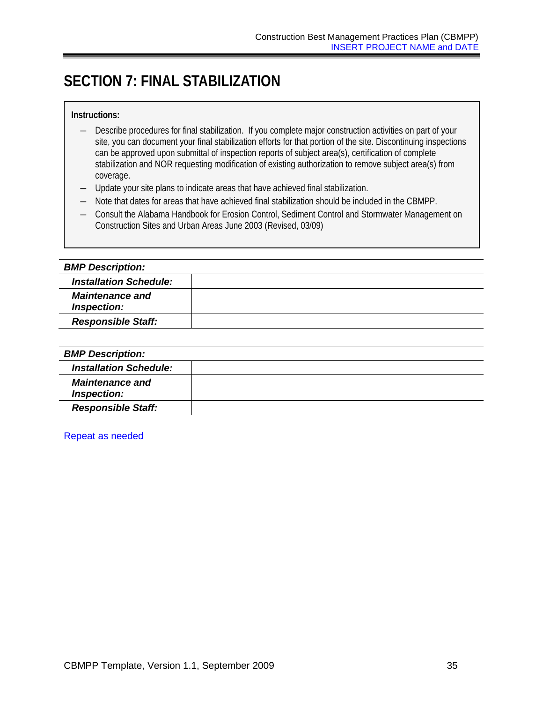## <span id="page-38-0"></span>**SECTION 7: FINAL STABILIZATION**

#### **Instructions:**

- ― Describe procedures for final stabilization. If you complete major construction activities on part of your site, you can document your final stabilization efforts for that portion of the site. Discontinuing inspections can be approved upon submittal of inspection reports of subject area(s), certification of complete stabilization and NOR requesting modification of existing authorization to remove subject area(s) from coverage.
- ― Update your site plans to indicate areas that have achieved final stabilization.
- ― Note that dates for areas that have achieved final stabilization should be included in the CBMPP.
- ― Consult the Alabama Handbook for Erosion Control, Sediment Control and Stormwater Management on Construction Sites and Urban Areas June 2003 (Revised, 03/09)

| <b>BMP Description:</b>               |  |
|---------------------------------------|--|
| <b>Installation Schedule:</b>         |  |
| <b>Maintenance and</b><br>Inspection: |  |
| <b>Responsible Staff:</b>             |  |
|                                       |  |

| <b>BMP Description:</b>               |  |
|---------------------------------------|--|
| <b>Installation Schedule:</b>         |  |
| <b>Maintenance and</b><br>Inspection: |  |
| <b>Responsible Staff:</b>             |  |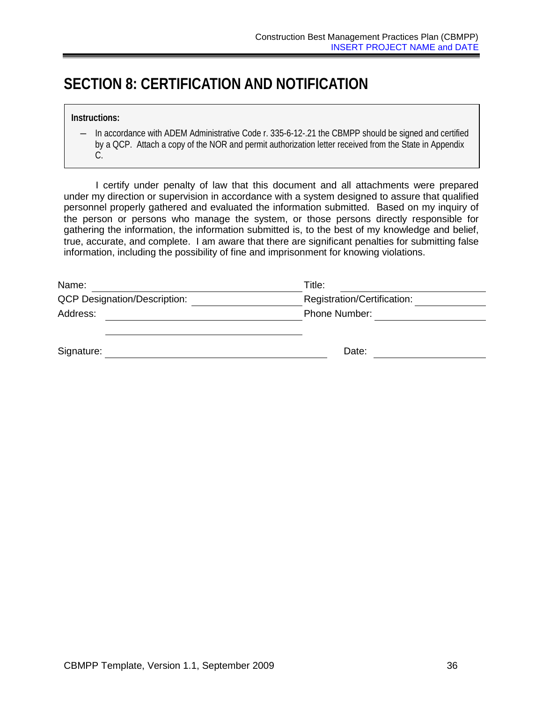## <span id="page-39-0"></span>**SECTION 8: CERTIFICATION AND NOTIFICATION**

― In accordance with ADEM Administrative Code r. 335-6-12-.21 the CBMPP should be signed and certified by a QCP. Attach a copy of the NOR and permit authorization letter received from the State in Appendix C.

I certify under penalty of law that this document and all attachments were prepared under my direction or supervision in accordance with a system designed to assure that qualified personnel properly gathered and evaluated the information submitted. Based on my inquiry of the person or persons who manage the system, or those persons directly responsible for gathering the information, the information submitted is, to the best of my knowledge and belief, true, accurate, and complete. I am aware that there are significant penalties for submitting false information, including the possibility of fine and imprisonment for knowing violations.

| Name:                               | Title:                      |
|-------------------------------------|-----------------------------|
| <b>QCP Designation/Description:</b> | Registration/Certification: |
| Address:                            | Phone Number:               |
|                                     |                             |
| Signature:                          | Date:                       |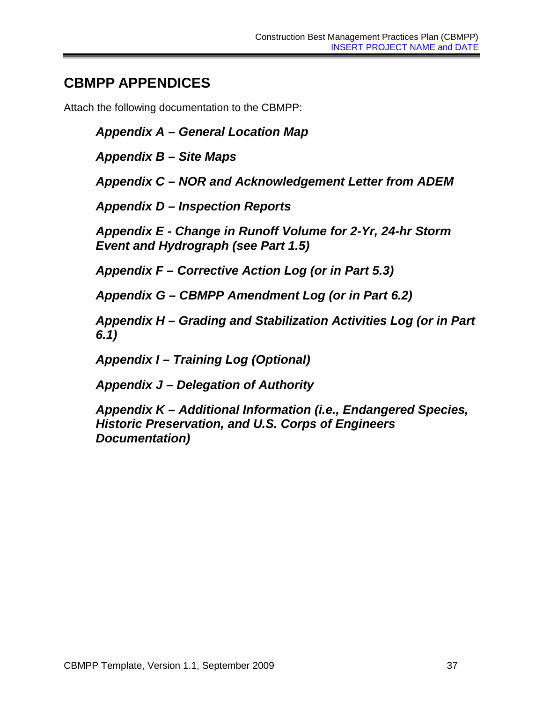## <span id="page-40-0"></span>**CBMPP APPENDICES**

Attach the following documentation to the CBMPP:

*Appendix A – General Location Map*

*Appendix B – Site Maps*

*Appendix C – NOR and Acknowledgement Letter from ADEM*

*Appendix D – Inspection Reports*

*Appendix E - Change in Runoff Volume for 2-Yr, 24-hr Storm Event and Hydrograph (see Part 1.5)*

*Appendix F – Corrective Action Log (or in Part 5.3)*

*Appendix G – CBMPP Amendment Log (or in Part 6.2)*

*Appendix H – Grading and Stabilization Activities Log (or in Part 6.1)*

*Appendix I – Training Log (Optional)*

*Appendix J – Delegation of Authority*

*Appendix K – Additional Information (i.e., Endangered Species, Historic Preservation, and U.S. Corps of Engineers Documentation)*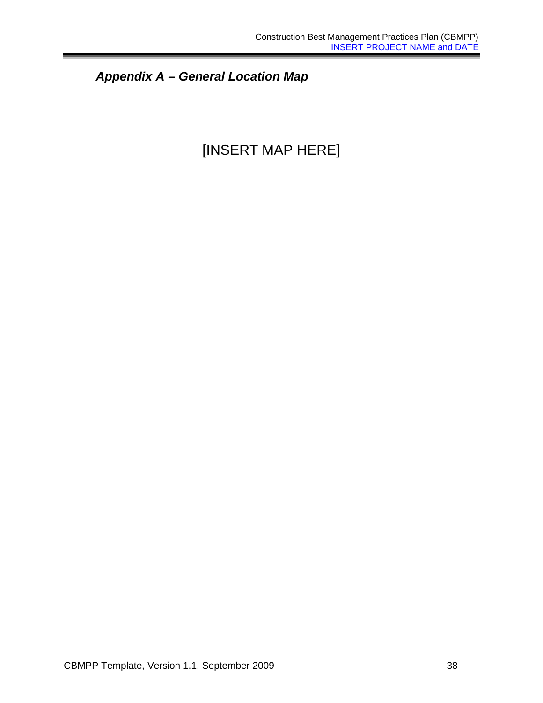*Appendix A – General Location Map*

## [INSERT MAP HERE]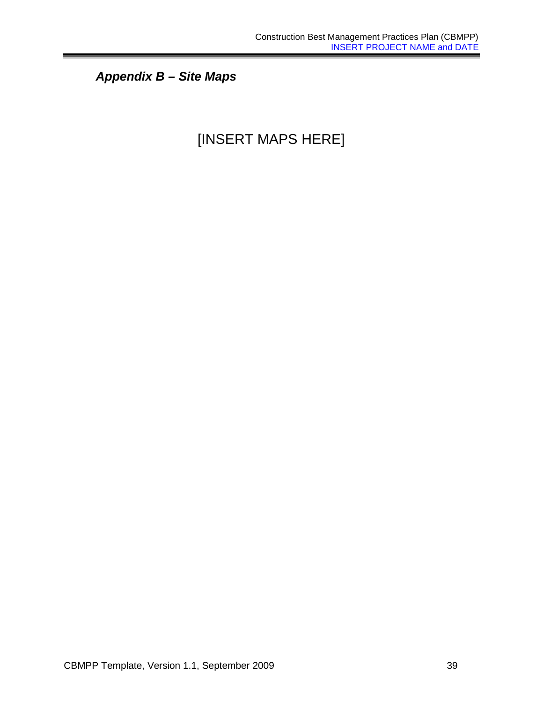*Appendix B – Site Maps*

## [INSERT MAPS HERE]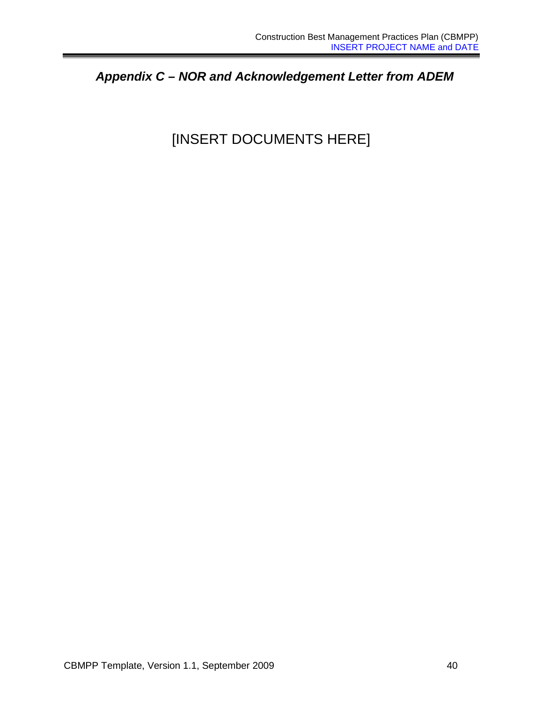*Appendix C – NOR and Acknowledgement Letter from ADEM*

## [INSERT DOCUMENTS HERE]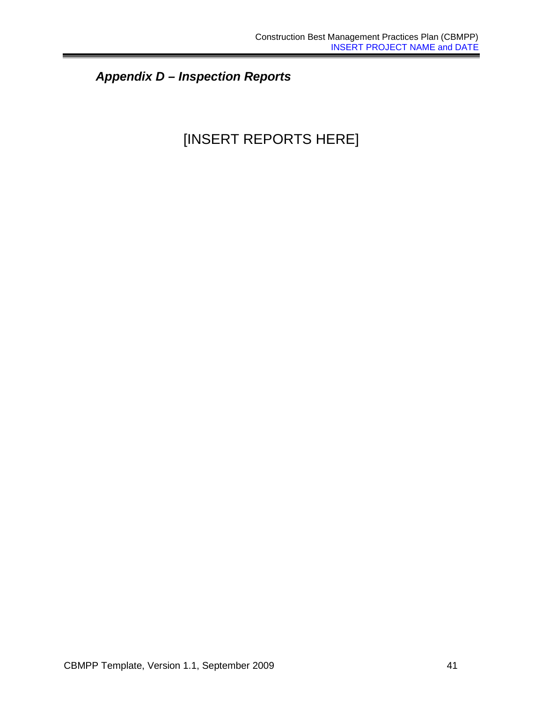## *Appendix D – Inspection Reports*

## [INSERT REPORTS HERE]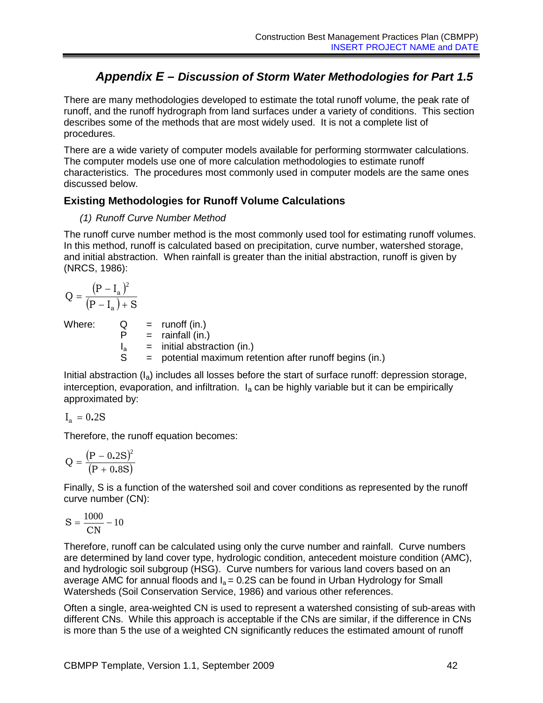## *Appendix E – Discussion of Storm Water Methodologies for Part 1.5*

There are many methodologies developed to estimate the total runoff volume, the peak rate of runoff, and the runoff hydrograph from land surfaces under a variety of conditions. This section describes some of the methods that are most widely used. It is not a complete list of procedures.

There are a wide variety of computer models available for performing stormwater calculations. The computer models use one of more calculation methodologies to estimate runoff characteristics. The procedures most commonly used in computer models are the same ones discussed below.

### **Existing Methodologies for Runoff Volume Calculations**

#### *(1) Runoff Curve Number Method*

The runoff curve number method is the most commonly used tool for estimating runoff volumes. In this method, runoff is calculated based on precipitation, curve number, watershed storage, and initial abstraction. When rainfall is greater than the initial abstraction, runoff is given by (NRCS, 1986):

$$
Q = \frac{(P - I_a)^2}{(P - I_a) + S}
$$

Where:  $Q = \text{runoff (in.)}$  $P = \text{rainfall (in.)}$  $I_a$  = initial abstraction (in.)<br>S = potential maximum ret = potential maximum retention after runoff begins (in.)

Initial abstraction  $(I_a)$  includes all losses before the start of surface runoff: depression storage, interception, evaporation, and infiltration.  $I_a$  can be highly variable but it can be empirically approximated by:

$$
\mathrm{I}_\mathrm{a}=0.2\mathrm{S}
$$

Therefore, the runoff equation becomes:

$$
Q = \frac{(P - 0.2S)^2}{(P + 0.8S)}
$$

Finally, S is a function of the watershed soil and cover conditions as represented by the runoff curve number (CN):

$$
S=\frac{1000}{\text{CN}}-10
$$

Therefore, runoff can be calculated using only the curve number and rainfall. Curve numbers are determined by land cover type, hydrologic condition, antecedent moisture condition (AMC), and hydrologic soil subgroup (HSG). Curve numbers for various land covers based on an average AMC for annual floods and  $I_a = 0.2S$  can be found in Urban Hydrology for Small Watersheds (Soil Conservation Service, 1986) and various other references.

Often a single, area-weighted CN is used to represent a watershed consisting of sub-areas with different CNs. While this approach is acceptable if the CNs are similar, if the difference in CNs is more than 5 the use of a weighted CN significantly reduces the estimated amount of runoff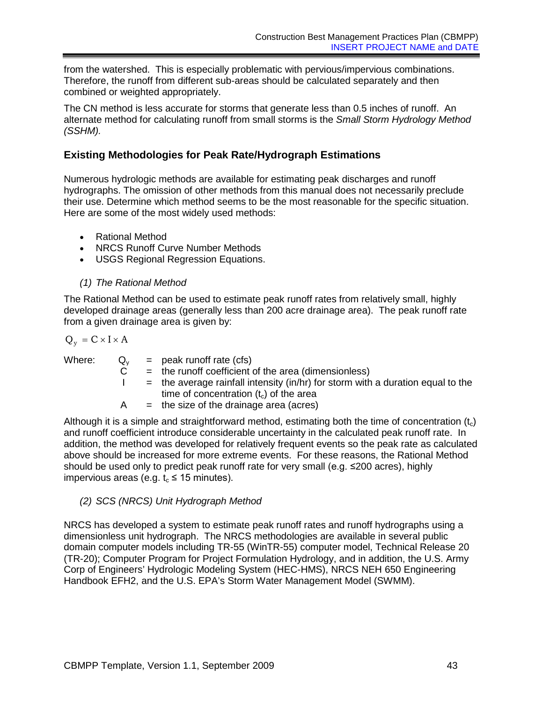from the watershed. This is especially problematic with pervious/impervious combinations. Therefore, the runoff from different sub-areas should be calculated separately and then combined or weighted appropriately.

The CN method is less accurate for storms that generate less than 0.5 inches of runoff. An alternate method for calculating runoff from small storms is the *Small Storm Hydrology Method (SSHM).*

## **Existing Methodologies for Peak Rate/Hydrograph Estimations**

Numerous hydrologic methods are available for estimating peak discharges and runoff hydrographs. The omission of other methods from this manual does not necessarily preclude their use. Determine which method seems to be the most reasonable for the specific situation. Here are some of the most widely used methods:

- Rational Method
- NRCS Runoff Curve Number Methods
- USGS Regional Regression Equations.

## *(1) The Rational Method*

The Rational Method can be used to estimate peak runoff rates from relatively small, highly developed drainage areas (generally less than 200 acre drainage area). The peak runoff rate from a given drainage area is given by:

 $Q_v = C \times I \times A$ 

Where:

| $Q_{V}$ | $=$ peak runoff rate (cfs)                                                                                                    |
|---------|-------------------------------------------------------------------------------------------------------------------------------|
|         | $=$ the runoff coefficient of the area (dimensionless)                                                                        |
|         | $=$ the average rainfall intensity (in/hr) for storm with a duration equal to the<br>time of concentration $(tc)$ of the area |
| A       | $=$ the size of the drainage area (acres)                                                                                     |

Although it is a simple and straightforward method, estimating both the time of concentration  $(t<sub>c</sub>)$ and runoff coefficient introduce considerable uncertainty in the calculated peak runoff rate. In addition, the method was developed for relatively frequent events so the peak rate as calculated above should be increased for more extreme events. For these reasons, the Rational Method should be used only to predict peak runoff rate for very small (e.g. ≤200 acres), highly impervious areas (e.g.  $t_c \le 15$  minutes).

## *(2) SCS (NRCS) Unit Hydrograph Method*

NRCS has developed a system to estimate peak runoff rates and runoff hydrographs using a dimensionless unit hydrograph. The NRCS methodologies are available in several public domain computer models including TR-55 (WinTR-55) computer model, Technical Release 20 (TR-20); Computer Program for Project Formulation Hydrology, and in addition, the U.S. Army Corp of Engineers' Hydrologic Modeling System (HEC-HMS), NRCS NEH 650 Engineering Handbook EFH2, and the U.S. EPA's Storm Water Management Model (SWMM).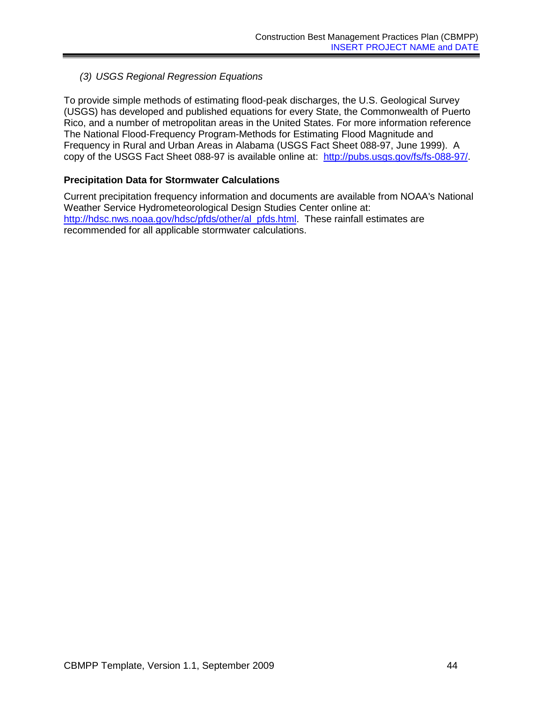### *(3) USGS Regional Regression Equations*

To provide simple methods of estimating flood-peak discharges, the U.S. Geological Survey (USGS) has developed and published equations for every State, the Commonwealth of Puerto Rico, and a number of metropolitan areas in the United States. For more information reference The National Flood-Frequency Program-Methods for Estimating Flood Magnitude and Frequency in Rural and Urban Areas in Alabama (USGS Fact Sheet 088-97, June 1999). A copy of the USGS Fact Sheet 088-97 is available online at: [http://pubs.usgs.gov/fs/fs-088-97/.](http://pubs.usgs.gov/fs/fs-088-97/)

#### **Precipitation Data for Stormwater Calculations**

Current precipitation frequency information and documents are available from NOAA's National Weather Service Hydrometeorological Design Studies Center online at: [http://hdsc.nws.noaa.gov/hdsc/pfds/other/al\\_pfds.html.](http://hdsc.nws.noaa.gov/hdsc/pfds/other/al_pfds.html) These rainfall estimates are recommended for all applicable stormwater calculations.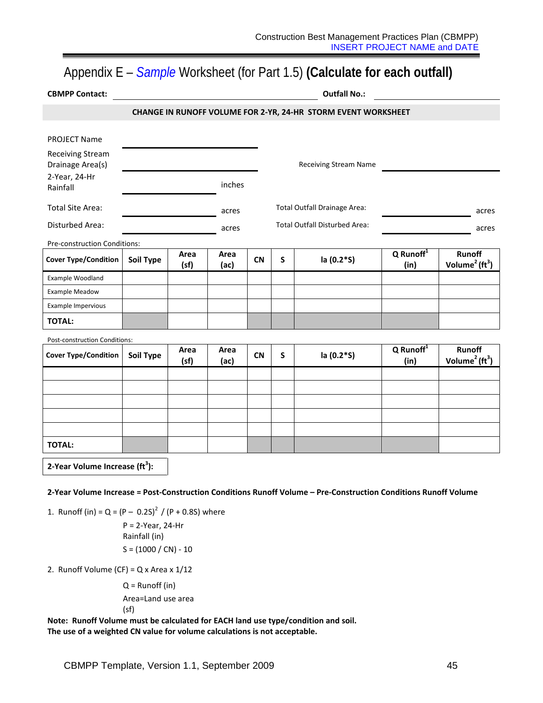## Appendix E – *Sample* Worksheet (for Part 1.5) **(Calculate for each outfall)**

| <b>CBMPP Contact:</b>                       | <b>Outfall No.:</b>                                           |              |              |           |   |                               |                               |                                                        |
|---------------------------------------------|---------------------------------------------------------------|--------------|--------------|-----------|---|-------------------------------|-------------------------------|--------------------------------------------------------|
|                                             | CHANGE IN RUNOFF VOLUME FOR 2-YR, 24-HR STORM EVENT WORKSHEET |              |              |           |   |                               |                               |                                                        |
|                                             |                                                               |              |              |           |   |                               |                               |                                                        |
| <b>PROJECT Name</b>                         |                                                               |              |              |           |   |                               |                               |                                                        |
| <b>Receiving Stream</b><br>Drainage Area(s) |                                                               |              |              |           |   | <b>Receiving Stream Name</b>  |                               |                                                        |
| 2-Year, 24-Hr<br>Rainfall                   |                                                               |              | inches       |           |   |                               |                               |                                                        |
| <b>Total Site Area:</b>                     |                                                               |              | acres        |           |   | Total Outfall Drainage Area:  |                               | acres                                                  |
| Disturbed Area:                             |                                                               |              | acres        |           |   | Total Outfall Disturbed Area: |                               | acres                                                  |
| Pre-construction Conditions:                |                                                               |              |              |           |   |                               |                               |                                                        |
| <b>Cover Type/Condition</b>                 | <b>Soil Type</b>                                              | Area<br>(sf) | Area<br>(ac) | <b>CN</b> | S | la (0.2*S)                    | Q Runoff <sup>1</sup><br>(in) | Runoff<br>Volume <sup>2</sup> ( $\text{ft}^3$ )        |
| Example Woodland                            |                                                               |              |              |           |   |                               |                               |                                                        |
| <b>Example Meadow</b>                       |                                                               |              |              |           |   |                               |                               |                                                        |
| Example Impervious                          |                                                               |              |              |           |   |                               |                               |                                                        |
| <b>TOTAL:</b>                               |                                                               |              |              |           |   |                               |                               |                                                        |
| Post-construction Conditions:               |                                                               |              |              |           |   |                               |                               |                                                        |
| <b>Cover Type/Condition</b>                 | Soil Type                                                     | Area<br>(sf) | Area<br>(ac) | <b>CN</b> | S | la (0.2*S)                    | $Q$ Runoff $1$<br>(in)        | <b>Runoff</b><br>Volume <sup>2</sup> ( $\text{ft}^3$ ) |
|                                             |                                                               |              |              |           |   |                               |                               |                                                        |
|                                             |                                                               |              |              |           |   |                               |                               |                                                        |
|                                             |                                                               |              |              |           |   |                               |                               |                                                        |
|                                             |                                                               |              |              |           |   |                               |                               |                                                        |
|                                             |                                                               |              |              |           |   |                               |                               |                                                        |
| <b>TOTAL:</b>                               |                                                               |              |              |           |   |                               |                               |                                                        |
| $2.36 - 0.36 - 0.02$                        | 10 <sup>3</sup>                                               |              |              |           |   |                               |                               |                                                        |

**2-Year Volume Increase (ft<sup>3</sup> ):**

**2-Year Volume Increase = Post-Construction Conditions Runoff Volume – Pre-Construction Conditions Runoff Volume**

1. Runoff (in) =  $Q = (P - 0.2S)^{2} / (P + 0.8S)$  where

P = 2-Year, 24-Hr Rainfall (in)  $S = (1000 / CN) - 10$ 

2. Runoff Volume (CF) =  $Q$  x Area x 1/12

Q = Runoff (in) Area=Land use area (sf)

**Note: Runoff Volume must be calculated for EACH land use type/condition and soil. The use of a weighted CN value for volume calculations is not acceptable.**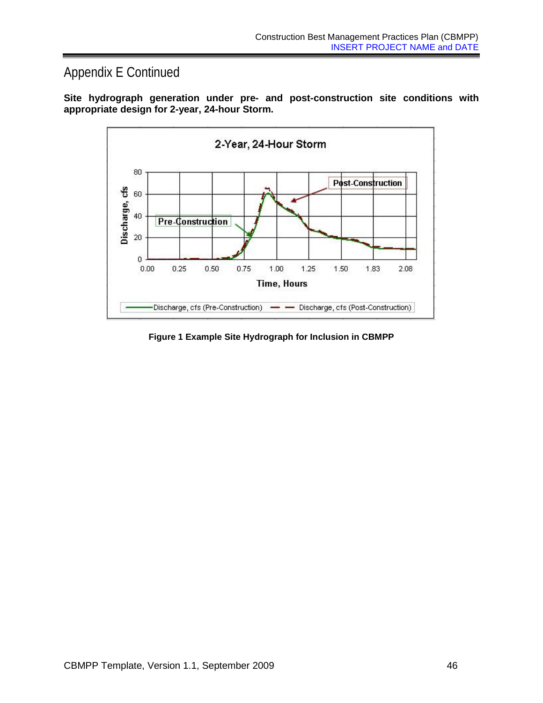## Appendix E Continued





**Figure 1 Example Site Hydrograph for Inclusion in CBMPP**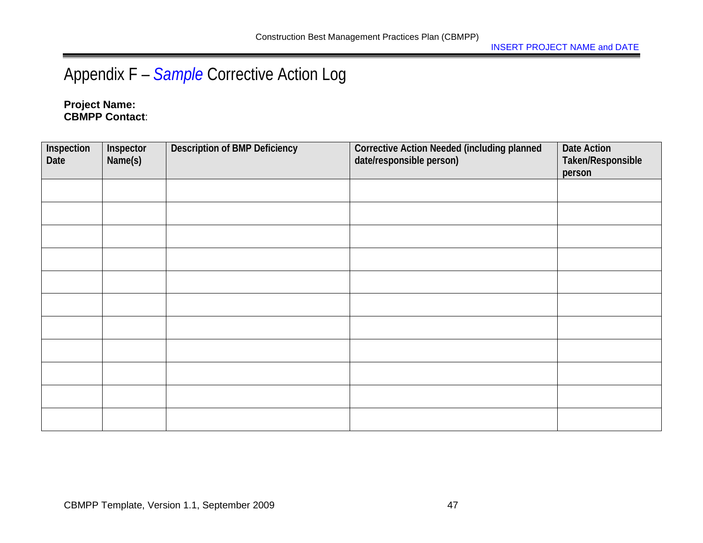# Appendix F – *Sample* Corrective Action Log

## **Project Name: CBMPP Contact**:

| Inspection<br>Date | Inspector<br>Name(s) | <b>Description of BMP Deficiency</b> | <b>Corrective Action Needed (including planned</b><br>date/responsible person) | Date Action<br>Taken/Responsible<br>person |
|--------------------|----------------------|--------------------------------------|--------------------------------------------------------------------------------|--------------------------------------------|
|                    |                      |                                      |                                                                                |                                            |
|                    |                      |                                      |                                                                                |                                            |
|                    |                      |                                      |                                                                                |                                            |
|                    |                      |                                      |                                                                                |                                            |
|                    |                      |                                      |                                                                                |                                            |
|                    |                      |                                      |                                                                                |                                            |
|                    |                      |                                      |                                                                                |                                            |
|                    |                      |                                      |                                                                                |                                            |
|                    |                      |                                      |                                                                                |                                            |
|                    |                      |                                      |                                                                                |                                            |
|                    |                      |                                      |                                                                                |                                            |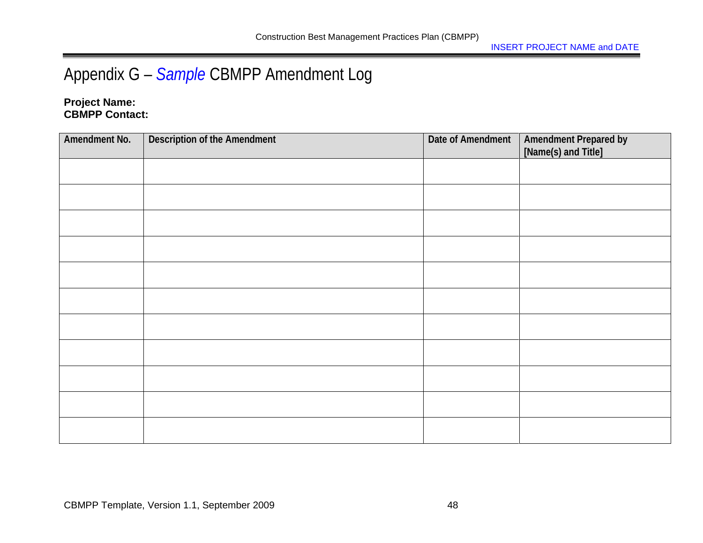# Appendix G – *Sample* CBMPP Amendment Log

### **Project Name: CBMPP Contact:**

| Amendment No. | <b>Description of the Amendment</b> | Date of Amendment | Amendment Prepared by<br>[Name(s) and Title] |
|---------------|-------------------------------------|-------------------|----------------------------------------------|
|               |                                     |                   |                                              |
|               |                                     |                   |                                              |
|               |                                     |                   |                                              |
|               |                                     |                   |                                              |
|               |                                     |                   |                                              |
|               |                                     |                   |                                              |
|               |                                     |                   |                                              |
|               |                                     |                   |                                              |
|               |                                     |                   |                                              |
|               |                                     |                   |                                              |
|               |                                     |                   |                                              |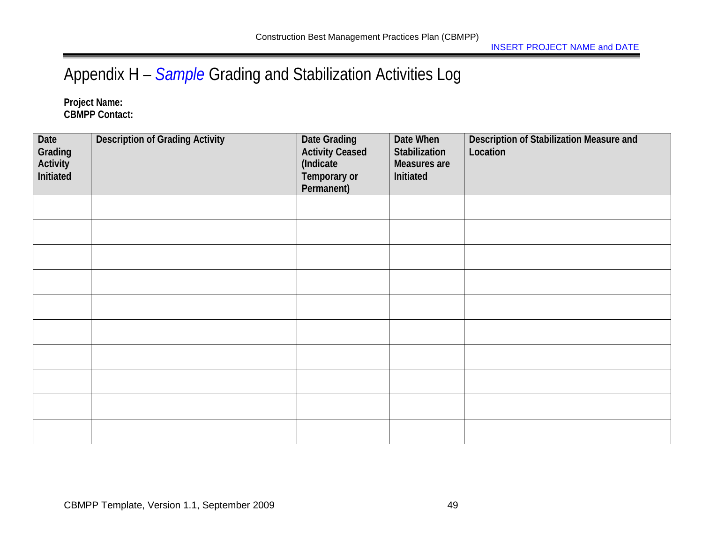# Appendix H – *Sample* Grading and Stabilization Activities Log

**Project Name: CBMPP Contact:** 

| Date<br>Grading<br>Activity<br>Initiated | <b>Description of Grading Activity</b> | <b>Date Grading</b><br><b>Activity Ceased</b><br>(Indicate<br>Temporary or<br>Permanent) | Date When<br>Stabilization<br>Measures are<br>Initiated | Description of Stabilization Measure and<br>Location |
|------------------------------------------|----------------------------------------|------------------------------------------------------------------------------------------|---------------------------------------------------------|------------------------------------------------------|
|                                          |                                        |                                                                                          |                                                         |                                                      |
|                                          |                                        |                                                                                          |                                                         |                                                      |
|                                          |                                        |                                                                                          |                                                         |                                                      |
|                                          |                                        |                                                                                          |                                                         |                                                      |
|                                          |                                        |                                                                                          |                                                         |                                                      |
|                                          |                                        |                                                                                          |                                                         |                                                      |
|                                          |                                        |                                                                                          |                                                         |                                                      |
|                                          |                                        |                                                                                          |                                                         |                                                      |
|                                          |                                        |                                                                                          |                                                         |                                                      |
|                                          |                                        |                                                                                          |                                                         |                                                      |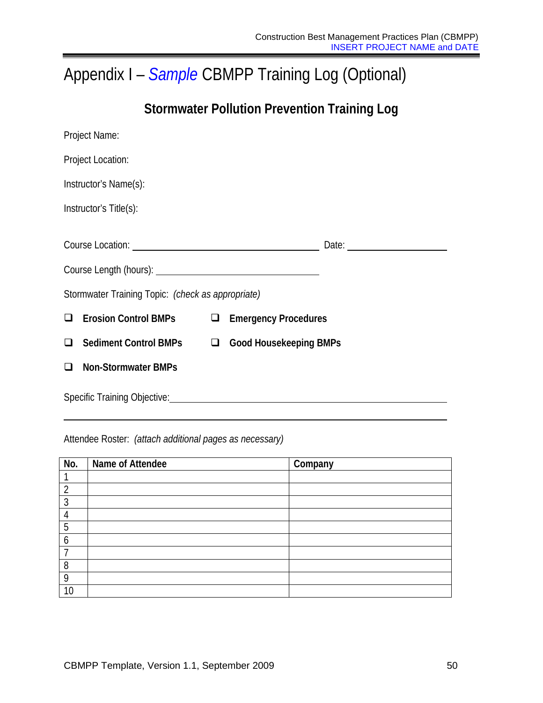# Appendix I – *Sample* CBMPP Training Log (Optional)

## **Stormwater Pollution Prevention Training Log**

|        | Project Name:                                                                                                                                                                                                                        |  |  |
|--------|--------------------------------------------------------------------------------------------------------------------------------------------------------------------------------------------------------------------------------------|--|--|
|        | Project Location:                                                                                                                                                                                                                    |  |  |
|        | Instructor's Name(s):                                                                                                                                                                                                                |  |  |
|        | Instructor's Title(s):                                                                                                                                                                                                               |  |  |
|        | Course Location: <u>contract and contract and contract and contract and contract and contract and contract and contract and contract and contract and contract and contract and contract and contract and contract and contract </u> |  |  |
|        |                                                                                                                                                                                                                                      |  |  |
|        | Stormwater Training Topic: (check as appropriate)                                                                                                                                                                                    |  |  |
| $\Box$ | Erosion Control BMPs <sub><math>\Box</math></sub> Emergency Procedures                                                                                                                                                               |  |  |
| $\Box$ | Sediment Control BMPs □ Good Housekeeping BMPs                                                                                                                                                                                       |  |  |
| ❏      | <b>Non-Stormwater BMPs</b>                                                                                                                                                                                                           |  |  |
|        | Specific Training Objective: Management of the Contract of the Contract of the Contract of the Contract of the Contract of the Contract of the Contract of the Contract of the Contract of the Contract of the Contract of the       |  |  |

## Attendee Roster: *(attach additional pages as necessary)*

| No.            | Name of Attendee | Company |
|----------------|------------------|---------|
|                |                  |         |
| $\overline{2}$ |                  |         |
| 3              |                  |         |
|                |                  |         |
| 5              |                  |         |
| 6              |                  |         |
|                |                  |         |
| 8              |                  |         |
| 9              |                  |         |
| 10             |                  |         |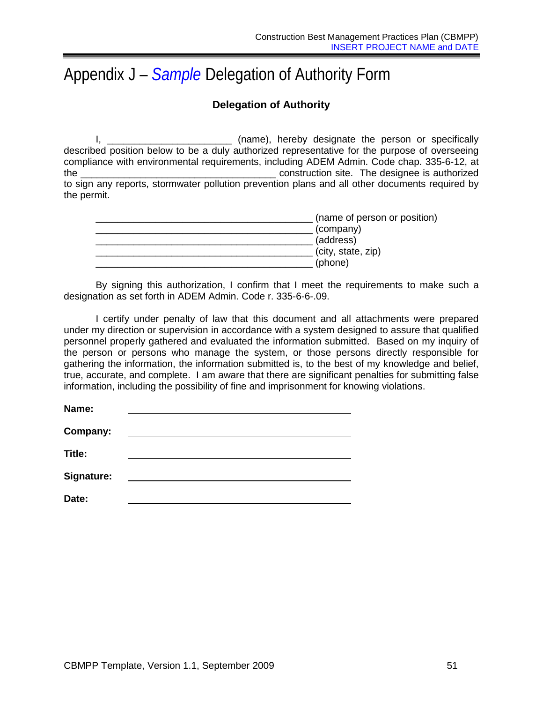# Appendix J – *Sample* Delegation of Authority Form

## **Delegation of Authority**

I, \_\_\_\_\_\_\_\_\_\_\_\_\_\_\_\_\_\_\_\_\_\_\_\_\_\_ (name), hereby designate the person or specifically described position below to be a duly authorized representative for the purpose of overseeing compliance with environmental requirements, including ADEM Admin. Code chap. 335-6-12, at the \_\_\_\_\_\_\_\_\_\_\_\_\_\_\_\_\_\_\_\_\_\_\_\_\_\_\_\_\_\_\_\_\_\_\_\_ construction site. The designee is authorized to sign any reports, stormwater pollution prevention plans and all other documents required by the permit.

| (name of person or position) |
|------------------------------|
|                              |
|                              |
|                              |
|                              |
|                              |

By signing this authorization, I confirm that I meet the requirements to make such a designation as set forth in ADEM Admin. Code r. 335-6-6-.09.

I certify under penalty of law that this document and all attachments were prepared under my direction or supervision in accordance with a system designed to assure that qualified personnel properly gathered and evaluated the information submitted. Based on my inquiry of the person or persons who manage the system, or those persons directly responsible for gathering the information, the information submitted is, to the best of my knowledge and belief, true, accurate, and complete. I am aware that there are significant penalties for submitting false information, including the possibility of fine and imprisonment for knowing violations.

| Name:             |  |
|-------------------|--|
| Company:          |  |
| Title:            |  |
| <b>Signature:</b> |  |
| Date:             |  |